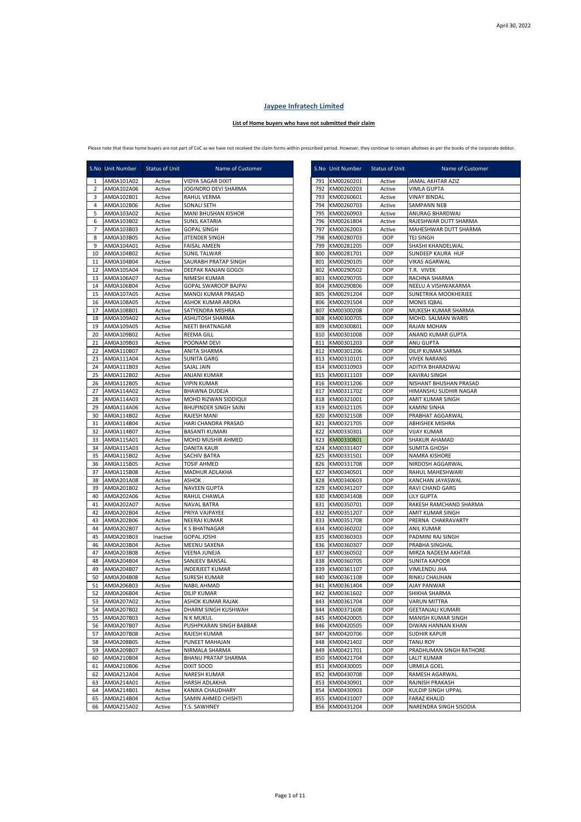## **Jaypee Infratech Limited**

## **List of Home buyers who have not submitted their claim**

Please note that these home buyers are not part of CoC as we have not received the claim forms within prescribed period. However, they continue to remain allottees as per the books of the corporate debtor.

|                | S.No Unit Number         | Status of Unit   | Name of Customer                         |            | S.No Unit Number         | Status of Unit    | Name of Customer                            |
|----------------|--------------------------|------------------|------------------------------------------|------------|--------------------------|-------------------|---------------------------------------------|
| 1              | AM0A101A02               | Active           | VIDYA SAGAR DIXIT                        |            | 791 KM00260201           | Active            | JAMAL AKHTAR AZIZ                           |
| $\overline{2}$ | AM0A102A06               | Active           | JOGINDRO DEVI SHARMA                     | 792        | KM00260203               | Active            | <b>VIMLA GUPTA</b>                          |
| 3              | AM0A102B01               | Active           | RAHUL VERMA                              | 793        | KM00260601               | Active            | <b>VINAY BINDAL</b>                         |
| 4              | AM0A102B06               | Active           | SONALI SETH                              |            | 794 KM00260703           | Active            | SAMPANN NEB                                 |
| 5              | AM0A103A02               | Active           | MANI BHUSHAN KISHOR                      | 795        | KM00260903               | Active            | ANURAG BHARDWAJ                             |
| 6              | AM0A103B02               | Active           | <b>SUNIL KATARIA</b>                     | 796        | KM00261804               | Active            | RAJESHWAR DUTT SHARMA                       |
| $\overline{7}$ | AM0A103B03               | Active           | <b>GOPAL SINGH</b>                       | 797        | KM00262003               | Active            | MAHESHWAR DUTT SHARMA                       |
| 8<br>9         | AM0A103B05<br>AM0A104A01 | Active<br>Active | JITENDER SINGH<br><b>FAISAL AMEEN</b>    | 798<br>799 | KM00280703<br>KM00281205 | OOP<br>OOP        | TEJ SINGH<br>SHASHI KHANDELWAL              |
| 10             | AM0A104B02               | Active           | <b>SUNIL TALWAR</b>                      | 800        | KM00281701               | OOP               | <b>SUNDEEP KAURA HUF</b>                    |
| 11             | AM0A104B04               | Active           | SAURABH PRATAP SINGH                     | 801        | KM00290105               | OOP               | <b>VIKAS AGARWAL</b>                        |
| 12             | AM0A105A04               | Inactive         | DEEPAK RANJAN GOGOI                      | 802        | KM00290502               | OOP               | T.R. VIVEK                                  |
| 13             | AM0A106A07               | Active           | NIMESH KUMAR                             | 803        | KM00290705               | OOP               | RACHNA SHARMA                               |
| 14             | AM0A106B04               | Active           | <b>GOPAL SWAROOP BAJPAI</b>              | 804        | KM00290806               | OOP               | NEELU A VISHWAKARMA                         |
| 15             | AM0A107A05               | Active           | MANOJ KUMAR PRASAD                       | 805        | KM00291204               | OOP               | SUNETRIKA MOOKHERJEE                        |
| 16             | AM0A108A05               | Active           | ASHOK KUMAR ARORA                        | 806        | KM00291504               | OOP               | <b>MONIS IQBAL</b>                          |
| 17             | AM0A108B01               | Active           | SATYENDRA MISHRA                         | 807        | KM00300208               | OOP               | MUKESH KUMAR SHARMA                         |
| 18             | AM0A109A02               | Active           | ASHUTOSH SHARMA                          | 808        | KM00300705               | OOP               | MOHD. SALMAN WARIS                          |
| 19             | AM0A109A05               | Active           | NEETI BHATNAGAR                          | 809        | KM00300801               | OOP               | RAJAN MOHAN                                 |
| 20<br>21       | AM0A109B02<br>AM0A109B03 | Active<br>Active | <b>REEMA GILL</b>                        | 810<br>811 | KM00301008<br>KM00301203 | <b>OOP</b><br>OOP | ANAND KUMAR GUPTA<br>ANU GUPTA              |
| 22             | AM0A110B07               | Active           | POONAM DEVI<br>ANITA SHARMA              | 812        | KM00301206               | OOP               | DILIP KUMAR SARMA                           |
| 23             | AM0A111A04               | Active           | <b>SUNITA GARG</b>                       | 813        | KM00310101               | OOP               | <b>VIVEK NARANG</b>                         |
| 24             | AM0A111B03               | Active           | SAJAL JAIN                               |            | 814 KM00310903           | OOP               | ADITYA BHARADWAJ                            |
| 25             | AM0A112B02               | Active           | ANJANI KUMAR                             |            | 815 KM00311103           | OOP               | KAVIRAJ SINGH                               |
| 26             | AM0A112B05               | Active           | VIPIN KUMAR                              |            | 816 KM00311206           | OOP               | NISHANT BHUSHAN PRASAD                      |
| 27             | AM0A114A02               | Active           | BHAWNA DUDEJA                            | 817        | KM00311702               | OOP               | HIMANSHU SUDHIR NAGAR                       |
| 28             | AM0A114A03               | Active           | MOHD RIZWAN SIDDIQUI                     | 818        | KM00321001               | OOP               | AMIT KUMAR SINGH                            |
| 29             | AM0A114A06               | Active           | <b>BHUPINDER SINGH SAINI</b>             | 819        | KM00321105               | OOP               | <b>KAMINI SINHA</b>                         |
| 30             | AM0A114B02               | Active           | RAJESH MANI                              |            | 820 KM00321508           | OOP               | PRABHAT AGGARWAL                            |
| 31             | AM0A114B04               | Active           | HARI CHANDRA PRASAD                      | 821        | KM00321705               | OOP               | <b>ABHISHEK MISHRA</b>                      |
| 32             | AM0A114B07               | Active           | <b>BASANTI KUMARI</b>                    | 822        | KM00330301               | OOP               | <b>VIJAY KUMAR</b>                          |
| 33             | AM0A115A01               | Active           | MOHD MUSHIR AHMED                        | 823        | KM00330801               | OOP               | <b>SHAKUR AHAMAD</b>                        |
| 34<br>35       | AM0A115A03<br>AM0A115B02 | Active<br>Active | DANITA KAUR<br>SACHIV BATRA              | 824<br>825 | KM00331407<br>KM00331501 | OOP<br>OOP        | <b>SUMITA GHOSH</b><br>NAMRA KISHORE        |
| 36             | AM0A115B05               | Active           | <b>TOSIF AHMED</b>                       | 826        | KM00331708               | OOP               | NIRDOSH AGGARWAL                            |
| 37             | AM0A115B08               | Active           | MADHUR ADLAKHA                           | 827        | KM00340501               | OOP               | RAHUL MAHESHWARI                            |
| 38             | AM0A201A08               | Active           | ASHOK.                                   | 828        | KM00340603               | OOP               | KANCHAN JAYASWAL                            |
| 39             | AM0A201B02               | Active           | NAVEEN GUPTA                             | 829        | KM00341207               | OOP               | RAVI CHAND GARG                             |
| 40             | AM0A202A06               | Active           | RAHUL CHAWLA                             | 830        | KM00341408               | OOP               | <b>LILY GUPTA</b>                           |
| 41             | AM0A202A07               | Active           | NAVAL BATRA                              | 831        | KM00350701               | OOP               | RAKESH RAMCHAND SHARMA                      |
| 42             | AM0A202B04               | Active           | PRIYA VAJPAYEE                           | 832        | KM00351207               | OOP               | <b>AMIT KUMAR SINGH</b>                     |
| 43             | AM0A202B06               | Active           | NEERAJ KUMAR                             | 833        | KM00351708               | OOP               | PRERNA CHAKRAVARTY                          |
| 44             | AM0A202B07               | Active           | K S BHATNAGAR                            | 834        | KM00360202               | OOP               | <b>ANIL KUMAR</b>                           |
| 45             | AM0A203B03               | Inactive         | <b>GOPAL JOSHI</b>                       | 835        | KM00360303               | OOP               | PADMINI RAJ SINGH                           |
| 46             | AM0A203B04               | Active           | MEENU SAXENA                             | 836        | KM00360307               | OOP               | PRABHA SINGHAL                              |
| 47<br>48       | AM0A203B08               | Active<br>Active | <b>VEENA JUNEJA</b>                      | 837<br>838 | KM00360502               | OOP<br>OOP        | MIRZA NADEEM AKHTAR<br><b>SUNITA KAPOOR</b> |
| 49             | AM0A204B04<br>AM0A204B07 | Active           | SANJEEV BANSAL<br><b>INDERJEET KUMAR</b> | 839        | KM00360705<br>KM00361107 | OOP               | VIMLENDU JHA                                |
| 50             | AM0A204B08               | Active           | SURESH KUMAR                             | 840        | KM00361108               | OOP               | RINKU CHAUHAN                               |
| 51             | AM0A206B03               | Active           | NABIL AHMAD                              |            | 841 KM00361404           | OOP               | <b>AJAY PANWAR</b>                          |
| 52             | AM0A206B04               | Active           | <b>DILIP KUMAR</b>                       |            | 842 KM00361602           | OOP               | SHIKHA SHARMA                               |
| 53             | AM0A207A02               | Active           | ASHOK KUMAR RAJAK                        | 843        | KM00361704               | OOP               | <b>VARUN MITTRA</b>                         |
| 54             | AM0A207B02               | Active           | DHARM SINGH KUSHWAH                      |            | 844 KM00371608           | OOP               | <b>GEETANJALI KUMARI</b>                    |
| 55             | AM0A207B03               | Active           | N K MUKUL                                | 845        | KM00420005               | OOP               | MANISH KUMAR SINGH                          |
| 56             | AM0A207B07               | Active           | PUSHPKARAN SINGH BABBAR                  | 846        | KM00420505               | OOP               | DIWAN HANNAN KHAN                           |
| 57             | AM0A207B08               | Active           | RAJESH KUMAR                             | 847        | KM00420706               | OOP               | <b>SUDHIR KAPUR</b>                         |
| 58             | AM0A208B05               | Active           | PUNEET MAHAJAN                           | 848        | KM00421402               | OOP               | <b>TANU ROY</b>                             |
| 59             | AM0A209B07               | Active           | NIRMALA SHARMA                           | 849        | KM00421701               | OOP               | PRADHUMAN SINGH RATHORE                     |
| 60             | AM0A210B04               | Active           | BHANU PRATAP SHARMA<br><b>DIXIT SOOD</b> | 850        | KM00421704               | OOP<br>OOP        | <b>LALIT KUMAR</b>                          |
| 61<br>62       | AM0A210B06<br>AM0A212A04 | Active<br>Active | NARESH KUMAR                             | 851<br>852 | KM00430005<br>KM00430708 | OOP               | <b>URMILA GOEL</b><br>RAMESH AGARWAL        |
| 63             | AM0A214A01               | Active           | HARSH ADLAKHA                            | 853        | KM00430901               | OOP               | RAJNISH PRAKASH                             |
| 64             | AM0A214B01               | Active           | KANIKA CHAUDHARY                         | 854        | KM00430903               | OOP               | KULDIP SINGH UPPAL                          |
| 65             | AM0A214B04               | Active           | SAMIN AHMED CHISHTI                      | 855        | KM00431007               | OOP               | <b>FARAZ KHALID</b>                         |
| 66             | AM0A215A02               | Active           | T.S. SAWHNEY                             |            | 856 KM00431204           | OOP               | NARENDRA SINGH SISODIA                      |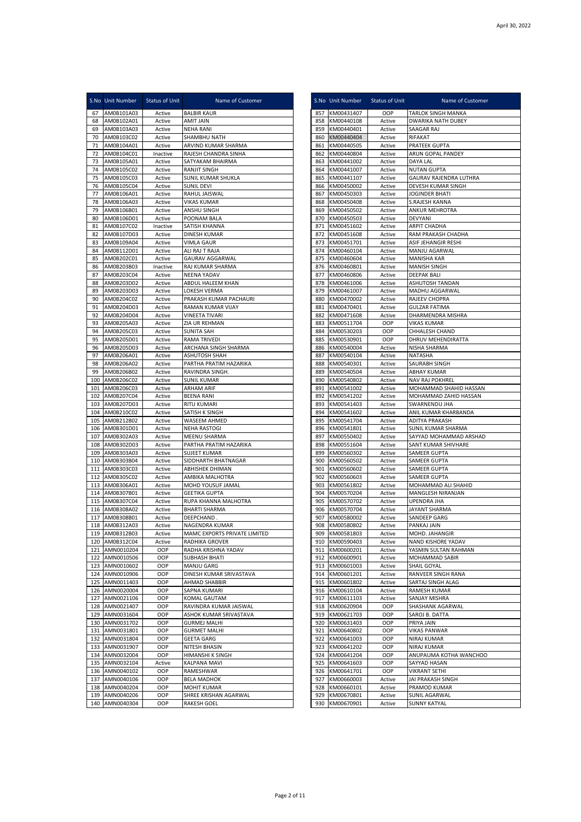|            | S.No Unit Number                 | <b>Status of Unit</b> | Name of Customer                                 |            | S.No Unit Number         | <b>Status of Unit</b> | Name of Customer                              |
|------------|----------------------------------|-----------------------|--------------------------------------------------|------------|--------------------------|-----------------------|-----------------------------------------------|
| 67         | AM0B101A03                       | Active                | <b>BALBIR KAUR</b>                               |            | 857 KM00431407           | OOP                   | <b>TARLOK SINGH MANKA</b>                     |
| 68         | AM0B102A01                       | Active                | AMIT JAIN                                        | 858        | KM00440108               | Active                | <b>DWARIKA NATH DUBEY</b>                     |
| 69<br>70   | AM0B103A03<br>AM0B103C02         | Active<br>Active      | <b>NEHA RANI</b><br>SHAMBHU NATH                 | 859<br>860 | KM00440401<br>KM00440404 | Active<br>Active      | SAAGAR RAJ<br>RIFAKAT                         |
| 71         | AM0B104A01                       | Active                | ARVIND KUMAR SHARMA                              | 861        | KM00440505               | Active                | PRATEEK GUPTA                                 |
| 72         | AM0B104C01                       | Inactive              | RAJESH CHANDRA SINHA                             | 862        | KM00440804               | Active                | ARUN GOPAL PANDEY                             |
| 73         | AM0B105A01                       | Active                | SATYAKAM BHAIRMA                                 | 863        | KM00441002               | Active                | DAYA LAL                                      |
| 74         | AM0B105C02                       | Active                | <b>RANJIT SINGH</b>                              | 864        | KM00441007               | Active                | <b>NUTAN GUPTA</b>                            |
| 75         | AM0B105C03                       | Active                | SUNIL KUMAR SHUKLA                               | 865        | KM00441107               | Active                | GAURAV RAJENDRA LUTHRA                        |
| 76<br>77   | AM0B105C04<br>AM0B106A01         | Active<br>Active      | <b>SUNIL DEVI</b><br>RAHUL JAISWAL               | 866<br>867 | KM00450002<br>KM00450303 | Active<br>Active      | DEVESH KUMAR SINGH<br><b>JOGINDER BHATI</b>   |
| 78         | AM0B106A03                       | Active                | <b>VIKAS KUMAR</b>                               | 868        | KM00450408               | Active                | S.RAJESH KANNA                                |
| 79         | AM0B106B01                       | Active                | ANSHU SINGH                                      | 869        | KM00450502               | Active                | <b>ANKUR MEHROTRA</b>                         |
| 80         | AM0B106D01                       | Active                | POONAM BALA                                      | 870        | KM00450503               | Active                | <b>DEVYANI</b>                                |
| 81         | AM0B107C02                       | Inactive              | SATISH KHANNA                                    | 871        | KM00451602               | Active                | <b>ARPIT CHADHA</b>                           |
| 82         | AM0B107D03                       | Active                | <b>DINESH KUMAR</b>                              | 872        | KM00451608               | Active                | RAM PRAKASH CHADHA                            |
| 83<br>84   | AM0B109A04<br>AM0B112D01         | Active                | <b>VIMLA GAUR</b><br>ALI RAJ T RAJA              | 873<br>874 | KM00451701<br>KM00460104 | Active                | ASIF JEHANGIR RESHI<br>MANJU AGARWAL          |
| 85         | AM0B202C01                       | Active<br>Active      | <b>GAURAV AGGARWAL</b>                           | 875        | KM00460604               | Active<br>Active      | MANISHA KAR                                   |
| 86         | AM0B203B03                       | Inactive              | RAJ KUMAR SHARMA                                 | 876        | KM00460801               | Active                | MANISH SINGH                                  |
| 87         | AM0B203C04                       | Active                | NEENA YADAV                                      | 877        | KM00460806               | Active                | DEEPAK BALI                                   |
| 88         | AM0B203D02                       | Active                | ABDUL HALEEM KHAN                                | 878        | KM00461006               | Active                | ASHUTOSH TANDAN                               |
| 89         | AM0B203D03                       | Active                | LOKESH VERMA                                     | 879        | KM00461007               | Active                | MADHU AGGARWAL                                |
| 90         | AM0B204C02                       | Active                | PRAKASH KUMAR PACHAURI                           | 880        | KM00470002               | Active                | RAJEEV CHOPRA                                 |
| 91         | AM0B204D03                       | Active                | RAMAN KUMAR VIJAY                                | 881        | KM00470401               | Active                | GULZAR FATIMA                                 |
| 92<br>93   | AM0B204D04<br>AM0B205A03         | Active<br>Active      | <b>VINEETA TIVARI</b><br>ZIA UR REHMAN           | 882<br>883 | KM00471608<br>KM00511704 | Active<br>OOP         | DHARMENDRA MISHRA<br>VIKAS KUMAR              |
| 94         | AM0B205C03                       | Active                | <b>SUNITA SAH</b>                                | 884        | KM00530203               | OOP                   | CHHALESH CHAND                                |
| 95         | AM0B205D01                       | Active                | <b>RAMA TRIVEDI</b>                              | 885        | KM00530901               | OOP                   | DHRUV MEHENDIRATTA                            |
| 96         | AM0B205D03                       | Active                | ARCHANA SINGH SHARMA                             | 886        | KM00540004               | Active                | NISHA SHARMA                                  |
| 97         | AM0B206A01                       | Active                | <b>ASHUTOSH SHAH</b>                             | 887        | KM00540104               | Active                | NATASHA                                       |
| 98         | AM0B206A02                       | Active                | PARTHA PRATIM HAZARIKA                           | 888        | KM00540301               | Active                | SAURABH SINGH                                 |
| 99<br>100  | AM0B206B02<br>AM0B206C02         | Active<br>Active      | RAVINDRA SINGH.<br><b>SUNIL KUMAR</b>            | 889<br>890 | KM00540504<br>KM00540802 | Active<br>Active      | ABHAY KUMAR<br><b>NAV RAJ POKHREL</b>         |
| 101        | AM0B206C03                       | Active                | <b>ARHAM ARIF</b>                                | 891        | KM00541002               | Active                | MOHAMMAD SHAHID HASSAN                        |
| 102        | AM0B207C04                       | Active                | <b>BEENA RANI</b>                                | 892        | KM00541202               | Active                | MOHAMMAD ZAHID HASSAN                         |
| 103        | AM0B207D03                       | Active                | <b>RITU KUMARI</b>                               | 893        | KM00541403               | Active                | SWARNENDU JHA                                 |
| 104        | AM0B210C02                       | Active                | SATISH K SINGH                                   | 894        | KM00541602               | Active                | ANIL KUMAR KHARBANDA                          |
| 105        | AM0B212B02                       | Active                | WASEEM AHMED                                     | 895        | KM00541704               | Active                | ADITYA PRAKASH                                |
| 106<br>107 | AM0B301D01                       | Active                | <b>NEHA RASTOGI</b>                              | 896<br>897 | KM00541801<br>KM00550402 | Active                | SUNIL KUMAR SHARMA                            |
| 108        | AM0B302A03<br>AM0B302D03         | Active<br>Active      | MEENU SHARMA<br>PARTHA PRATIM HAZARIKA           | 898        | KM00551604               | Active<br>Active      | SAYYAD MOHAMMAD ARSHAD<br>SANT KUMAR SHIVHARE |
| 109        | AM0B303A03                       | Active                | SUJEET KUMAR                                     | 899        | KM00560302               | Active                | SAMEER GUPTA                                  |
|            | 110 AM0B303B04                   | Active                | SIDDHARTH BHATNAGAR                              | 900        | KM00560502               | Active                | SAMEER GUPTA                                  |
| 111        | AM0B303C03                       | Active                | <b>ABHISHEK DHIMAN</b>                           | 901        | KM00560602               | Active                | SAMEER GUPTA                                  |
| 112        | AM0B305C02                       | Active                | AMBIKA MALHOTRA                                  | 902        | KM00560603               | Active                | SAMEER GUPTA                                  |
| 113        | AM0B306A01                       | Active                | MOHD YOUSUF JAMAL                                | 903        | KM00561802               | Active                | MOHAMMAD ALI SHAHID                           |
| 114<br>115 | AM0B307B01<br>AM0B307C04         | Active<br>Active      | <b>GEETIKA GUPTA</b><br>RUPA KHANNA MALHOTRA     | 904<br>905 | KM00570204<br>KM00570702 | Active<br>Active      | MANGLESH NIRANJAN<br><b>UPENDRA JHA</b>       |
| 116        | AM0B308A02                       | Active                | <b>BHARTI SHARMA</b>                             | 906        | KM00570704               | Active                | JAYANT SHARMA                                 |
| 117        | AM0B308B01                       | Active                | DEEPCHAND                                        | 907        | KM00580002               | Active                | SANDEEP GARG                                  |
|            | 118 AM0B312A03                   | Active                | NAGENDRA KUMAR                                   |            | 908 KM00580802           | Active                | PANKAJ JAIN                                   |
|            | 119 AM0B312B03                   | Active                | MAMC EXPORTS PRIVATE LIMITED                     |            | 909 KM00581803           | Active                | MOHD. JAHANGIR                                |
|            | 120 AM0B312C04                   | Active                | RADHIKA GROVER                                   | 910        | KM00590403               | Active                | NAND KISHORE YADAV                            |
|            | 121 AMN0010204<br>122 AMN0010506 | OOP<br>OOP            | RADHA KRISHNA YADAV<br><b>SUBHASH BHATI</b>      | 911<br>912 | KM00600201<br>KM00600901 | Active<br>Active      | YASMIN SULTAN RAHMAN<br>MOHAMMAD SABIR        |
|            | 123 AMN0010602                   | OOP                   | MANJU GARG                                       |            | 913 KM00601003           | Active                | SHAIL GOYAL                                   |
|            | 124 AMN0010906                   | OOP                   | DINESH KUMAR SRIVASTAVA                          | 914        | KM00601201               | Active                | RANVEER SINGH RANA                            |
| 125        | AMN0011403                       | OOP                   | AHMAD SHABBIR                                    | 915        | KM00601802               | Active                | SARTAJ SINGH ALAG                             |
|            | 126 AMN0020004                   | OOP                   | SAPNA KUMARI                                     | 916        | KM00610104               | Active                | RAMESH KUMAR                                  |
| 127        | AMN0021106                       | OOP                   | KOMAL GAUTAM                                     | 917        | KM00611103               | Active                | SANJAY MISHRA                                 |
| 128<br>129 | AMN0021407<br>AMN0031604         | OOP<br>OOP            | RAVINDRA KUMAR JAISWAL<br>ASHOK KUMAR SRIVASTAVA | 918<br>919 | KM00620904<br>KM00621703 | OOP<br>OOP            | SHASHANK AGARWAL<br>SAROJ B. DATTA            |
| 130        | AMN0031702                       | OOP                   | <b>GURMEJ MALHI</b>                              | 920        | KM00631403               | OOP                   | PRIYA JAIN                                    |
| 131        | AMN0031801                       | OOP                   | <b>GURMET MALHI</b>                              | 921        | KM00640802               | OOP                   | <b>VIKAS PANWAR</b>                           |
|            | 132 AMN0031804                   | OOP                   | <b>GEETA GARG</b>                                | 922        | KM00641003               | OOP                   | NIRAJ KUMAR                                   |
| 133        | AMN0031907                       | OOP                   | NITESH BHASIN                                    | 923        | KM00641202               | OOP                   | NIRAJ KUMAR                                   |
| 134        | AMN0032004                       | OOP                   | HIMANSHI K SINGH                                 | 924        | KM00641204               | OOP                   | ANUPAUMA KOTHA WANCHOO                        |
|            | 135 AMN0032104                   | Active                | KALPANA MAVI                                     | 925        | KM00641603               | OOP                   | SAYYAD HASAN                                  |
| 137        | 136 AMN0040102<br>AMN0040106     | OOP<br>OOP            | RAMESHWAR<br><b>BELA MADHOK</b>                  | 926<br>927 | KM00641701<br>KM00660003 | OOP<br>Active         | <b>VIKRANT SETHI</b><br>JAI PRAKASH SINGH     |
| 138        | AMN0040204                       | OOP                   | MOHIT KUMAR                                      | 928        | KM00660101               | Active                | PRAMOD KUMAR                                  |
|            | 139 AMN0040206                   | OOP                   | SHREE KRISHAN AGARWAL                            | 929        | KM00670801               | Active                | SUNIL AGARWAL                                 |
|            | 140 AMN0040304                   | OOP                   | <b>RAKESH GOEL</b>                               | 930        | KM00670901               | Active                | <b>SUNNY KATYAL</b>                           |

| S.No Unit Number |                          | Status of Unit   | Name of Customer                              |
|------------------|--------------------------|------------------|-----------------------------------------------|
| 857              | KM00431407               | OOP              | TARLOK SINGH MANKA                            |
| 858              | KM00440108               | Active           | DWARIKA NATH DUBEY                            |
| 859              | KM00440401               | Active           | SAAGAR RAJ                                    |
| 860              | KM00440404               | Active           | RIFAKAT                                       |
| 861              | KM00440505               | Active           | PRATEEK GUPTA                                 |
| 862<br>863       | KM00440804<br>KM00441002 | Active<br>Active | ARUN GOPAL PANDEY<br>DAYA LAL                 |
| 864              | KM00441007               | Active           | <b>NUTAN GUPTA</b>                            |
| 865              | KM00441107               | Active           | GAURAV RAJENDRA LUTHRA                        |
| 866              | KM00450002               | Active           | DEVESH KUMAR SINGH                            |
| 867              | KM00450303               | Active           | JOGINDER BHATI                                |
| 868              | KM00450408               | Active           | S.RAJESH KANNA                                |
| 869              | KM00450502               | Active           | ANKUR MEHROTRA                                |
| 870              | KM00450503               | Active           | <b>DEVYANI</b>                                |
| 871<br>872       | KM00451602<br>KM00451608 | Active<br>Active | ARPIT CHADHA<br>RAM PRAKASH CHADHA            |
| 873              | KM00451701               | Active           | ASIF JEHANGIR RESHI                           |
| 874              | KM00460104               | Active           | MANJU AGARWAL                                 |
| 875              | KM00460604               | Active           | <b>MANISHA KAR</b>                            |
| 876              | KM00460801               | Active           | MANISH SINGH                                  |
| 877              | KM00460806               | Active           | <b>DEEPAK BALI</b>                            |
| 878              | KM00461006               | Active           | ASHUTOSH TANDAN                               |
| 879              | KM00461007               | Active           | MADHU AGGARWAL                                |
| 880<br>881       | KM00470002<br>KM00470401 | Active<br>Active | RAJEEV CHOPRA<br><b>GULZAR FATIMA</b>         |
| 882              | KM00471608               | Active           | DHARMENDRA MISHRA                             |
| 883              | KM00511704               | OOP              | VIKAS KUMAR                                   |
| 884              | KM00530203               | OOP              | CHHALESH CHAND                                |
| 885              | KM00530901               | OOP              | DHRUV MEHENDIRATTA                            |
| 886              | KM00540004               | Active           | NISHA SHARMA                                  |
| 887              | KM00540104               | Active           | <b>NATASHA</b>                                |
| 888              | KM00540301<br>KM00540504 | Active           | SAURABH SINGH                                 |
| 889<br>890       | KM00540802               | Active<br>Active | ABHAY KUMAR<br>NAV RAJ POKHREL                |
| 891              | KM00541002               | Active           | MOHAMMAD SHAHID HASSAN                        |
| 892              | KM00541202               | Active           | MOHAMMAD ZAHID HASSAN                         |
| 893              | KM00541403               | Active           | SWARNENDU JHA                                 |
| 894              | KM00541602               | Active           | ANIL KUMAR KHARBANDA                          |
| 895              | KM00541704               | Active           | ADITYA PRAKASH                                |
| 896              | KM00541801               | Active           | SUNIL KUMAR SHARMA                            |
| 897<br>898       | KM00550402<br>KM00551604 | Active<br>Active | SAYYAD MOHAMMAD ARSHAD<br>SANT KUMAR SHIVHARE |
| 899              | KM00560302               | Active           | SAMEER GUPTA                                  |
| 900              | KM00560502               | Active           | SAMEER GUPTA                                  |
| 901              | KM00560602               | Active           | SAMEER GUPTA                                  |
| 902              | KM00560603               | Active           | SAMEER GUPTA                                  |
| 903              | KM00561802               | Active           | MOHAMMAD ALI SHAHID                           |
| 904              | KM00570204               | Active           | MANGLESH NIRANJAN                             |
| 905              | KM00570702               | Active           | UPENDRA JHA                                   |
| 906<br>907       | KM00570704<br>KM00580002 | Active<br>Active | JAYANT SHARMA<br>SANDEEP GARG                 |
| 908              | KM00580802               | Active           | PANKAJ JAIN                                   |
| 909              | KM00581803               | Active           | MOHD. JAHANGIR                                |
| 910              | KM00590403               | Active           | NAND KISHORE YADAV                            |
| 911              | KM00600201               | Active           | YASMIN SULTAN RAHMAN                          |
| 912              | KM00600901               | Active           | MOHAMMAD SABIR                                |
| 913              | KM00601003               | Active           | SHAIL GOYAL                                   |
| 914              | KM00601201               | Active           | RANVEER SINGH RANA                            |
| 915<br>916       | KM00601802<br>KM00610104 | Active<br>Active | SARTAJ SINGH ALAG<br>RAMESH KUMAR             |
| 917              | KM00611103               | Active           | SANJAY MISHRA                                 |
| 918              | KM00620904               | OOP              | SHASHANK AGARWAL                              |
| 919              | KM00621703               | OOP              | SAROJ B. DATTA                                |
| 920              | KM00631403               | OOP              | PRIYA JAIN                                    |
| 921              | KM00640802               | OOP              | <b>VIKAS PANWAR</b>                           |
| 922              | KM00641003               | OOP              | NIRAJ KUMAR                                   |
| 923              | KM00641202               | OOP              | NIRAJ KUMAR                                   |
| 924<br>925       | KM00641204<br>KM00641603 | OOP<br>OOP       | ANUPAUMA KOTHA WANCHOO<br>SAYYAD HASAN        |
| 926              | KM00641701               | OOP              | VIKRANT SETHI                                 |
| 927              | KM00660003               | Active           | JAI PRAKASH SINGH                             |
| 928              | KM00660101               | Active           | PRAMOD KUMAR                                  |
| 929              | KM00670801               | Active           | SUNIL AGARWAL                                 |
| 930              | KM00670901               | Active           | SUNNY KATYAL                                  |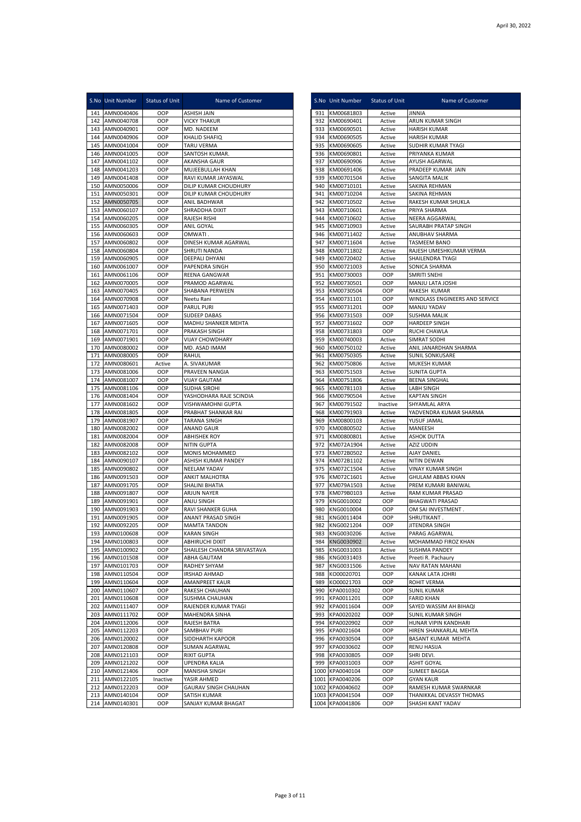|            | S.No Unit Number             | Status of Unit | Name of Customer                            |              | S.No Unit Number             | Status of Unit   | Name of Customer                                  |
|------------|------------------------------|----------------|---------------------------------------------|--------------|------------------------------|------------------|---------------------------------------------------|
| 141        | AMN0040406                   | OOP            | <b>ASHISH JAIN</b>                          | 931          | KM00681803                   | Active           | <b>JINNIA</b>                                     |
| 142        | AMN0040708                   | OOP            | <b>VICKY THAKUR</b>                         | 932          | KM00690401                   | Active           | ARUN KUMAR SINGH                                  |
| 143        | AMN0040901                   | OOP            | MD. NADEEM                                  | 933          | KM00690501                   | Active           | <b>HARISH KUMAR</b>                               |
| 144        | AMN0040906                   | OOP            | KHALID SHAFIQ                               | 934          | KM00690505                   | Active           | HARISH KUMAR                                      |
| 145        | AMN0041004                   | OOP            | TARU VERMA                                  | 935          | KM00690605                   | Active           | SUDHIR KUMAR TYAGI                                |
| 146        | AMN0041005                   | OOP            | SANTOSH KUMAR.                              | 936          | KM00690801                   | Active           | PRIYANKA KUMAR                                    |
| 147<br>148 | AMN0041102                   | OOP<br>OOP     | AKANSHA GAUR                                | 937<br>938   | KM00690906                   | Active           | AYUSH AGARWAL<br>PRADEEP KUMAR JAIN               |
| 149        | AMN0041203<br>AMN0041408     | OOP            | MUJEEBULLAH KHAN<br>RAVI KUMAR JAYASWAL     | 939          | KM00691406<br>KM00701504     | Active<br>Active | SANGITA MALIK                                     |
| 150        | AMN0050006                   | OOP            | DILIP KUMAR CHOUDHURY                       | 940          | KM00710101                   | Active           | SAKINA REHMAN                                     |
| 151        | AMN0050301                   | OOP            | DILIP KUMAR CHOUDHURY                       | 941          | KM00710204                   | Active           | SAKINA REHMAN                                     |
| 152        | AMN0050705                   | OOP            | ANIL BADHWAR                                | 942          | KM00710502                   | Active           | RAKESH KUMAR SHUKLA                               |
| 153        | AMN0060107                   | OOP            | SHRADDHA DIXIT                              | 943          | KM00710601                   | Active           | PRIYA SHARMA                                      |
| 154        | AMN0060205                   | OOP            | RAJESH RISHI                                | 944          | KM00710602                   | Active           | NEERA AGGARWAL                                    |
| 155        | AMN0060305                   | OOP            | <b>ANIL GOYAL</b>                           | 945          | KM00710903                   | Active           | SAURABH PRATAP SINGH                              |
| 156        | AMN0060603                   | OOP            | OMWATI.                                     | 946          | KM00711402                   | Active           | ANUBHAV SHARMA                                    |
| 157        | AMN0060802                   | OOP            | DINESH KUMAR AGARWAL                        | 947          | KM00711604                   | Active           | <b>TASMEEM BANO</b>                               |
| 158        | AMN0060804                   | OOP            | SHRUTI NANDA                                | 948          | KM00711802                   | Active           | RAJESH UMESHKUMAR VERMA                           |
| 159<br>160 | AMN0060905<br>AMN0061007     | OOP<br>OOP     | DEEPALI DHYANI<br>PAPENDRA SINGH            | 949<br>950   | KM00720402<br>KM00721003     | Active<br>Active | SHAILENDRA TYAGI<br>SONICA SHARMA                 |
| 161        | AMN0061106                   | OOP            | REENA GANGWAR                               | 951          | KM00730003                   | OOP              | SMRITI SNEHI                                      |
| 162        | AMN0070005                   | OOP            | PRAMOD AGARWAL                              | 952          | KM00730501                   | OOP              | MANJU LATA JOSHI                                  |
| 163        | AMN0070405                   | OOP            | SHABANA PERWEEN                             | 953          | KM00730504                   | OOP              | RAKESH KUMAR                                      |
| 164        | AMN0070908                   | OOP            | Neetu Rani                                  | 954          | KM00731101                   | OOP              | WINDLASS ENGINEERS AND SERVICE                    |
| 165        | AMN0071403                   | OOP            | PARUL PURI                                  | 955          | KM00731201                   | OOP              | MANJU YADAV                                       |
| 166        | AMN0071504                   | OOP            | SUDEEP DABAS                                | 956          | KM00731503                   | OOP              | SUSHMA MALIK                                      |
| 167        | AMN0071605                   | OOP            | MADHU SHANKER MEHTA                         | 957          | KM00731602                   | OOP              | <b>HARDEEP SINGH</b>                              |
| 168        | AMN0071701                   | OOP            | PRAKASH SINGH                               | 958          | KM00731803                   | OOP              | RUCHI CHAWLA                                      |
| 169        | AMN0071901                   | OOP            | VIJAY CHOWDHARY                             | 959          | KM00740003                   | Active           | SIMRAT SODHI                                      |
| 170        | AMN0080002                   | OOP            | MD. ASAD IMAM                               | 960          | KM00750102                   | Active           | ANIL JANARDHAN SHARMA                             |
| 171<br>172 | AMN0080005<br>AMN0080601     | OOP            | <b>RAHUL</b><br>A. SIVAKUMAR                | 961<br>962   | KM00750305<br>KM00750806     | Active<br>Active | SUNIL SONKUSARE<br>MUKESH KUMAR                   |
| 173        | AMN0081006                   | Active<br>OOP  | PRAVEEN NANGIA                              | 963          | KM00751503                   | Active           | <b>SUNITA GUPTA</b>                               |
| 174        | AMN0081007                   | OOP            | <b>VIJAY GAUTAM</b>                         | 964          | KM00751806                   | Active           | <b>BEENA SINGHAL</b>                              |
| 175        | AMN0081106                   | OOP            | SUDHA SIROHI                                | 965          | KM00781103                   | Active           | <b>LABH SINGH</b>                                 |
| 176        | AMN0081404                   | OOP            | YASHODHARA RAJE SCINDIA                     | 966          | KM00790504                   | Active           | <b>KAPTAN SINGH</b>                               |
| 177        | AMN0081602                   | OOP            | VISHWAMOHNI GUPTA                           | 967          | KM00791502                   | Inactive         | SHYAMLAL ARYA                                     |
| 178        | AMN0081805                   | OOP            | PRABHAT SHANKAR RAI                         | 968          | KM00791903                   | Active           | YADVENDRA KUMAR SHARMA                            |
| 179        | AMN0081907                   | OOP            | <b>TARANA SINGH</b>                         | 969          | KM00800103                   | Active           | YUSUF JAMAL                                       |
| 180        | AMN0082002                   | OOP            | ANAND GAUR                                  | 970          | KM00800502                   | Active           | MANEESH                                           |
| 181        | AMN0082004                   | OOP            | <b>ABHISHEK ROY</b>                         | 971          | KM00800801                   | Active           | <b>ASHOK DUTTA</b>                                |
| 182<br>183 | AMN0082008<br>AMN0082102     | OOP<br>OOP     | NITIN GUPTA<br>MONIS MOHAMMED               | 972<br>973   | KM072A1904<br>KM072B0502     | Active<br>Active | AZIZ UDDIN<br>AJAY DANIEL                         |
| 184        | AMN0090107                   | OOP            | ASHISH KUMAR PANDEY                         | 974          | KM072B1102                   | Active           | <b>NITIN DEWAN</b>                                |
| 185        | AMN0090802                   | OOP            | NEELAM YADAV                                | 975          | KM072C1504                   | Active           | <b>VINAY KUMAR SINGH</b>                          |
| 186        | AMN0091503                   | OOP            | <b>ANKIT MALHOTRA</b>                       | 976          | KM072C1601                   | Active           | <b>GHULAM ABBAS KHAN</b>                          |
| 187        | AMN0091705                   | OOP            | SHALINI BHATIA                              | 977          | KM079A1503                   | Active           | PREM KUMARI BANIWAL                               |
| 188        | AMN0091807                   | OOP            | ARJUN NAYER                                 | 978          | KM079B0103                   | Active           | RAM KUMAR PRASAD                                  |
| 189        | AMN0091901                   | OOP            | ANJU SINGH                                  | 979          | KNG0010002                   | OOP              | <b>BHAGWATI PRASAD</b>                            |
| 190        | AMN0091903                   | OOP            | RAVI SHANKER GUHA                           | 980          | KNG0010004                   | OOP              | OM SAI INVESTMENT.                                |
| 191        | AMN0091905                   | OOP            | ANANT PRASAD SINGH                          | 981          | KNG0011404                   | OOP              | SHRUTIKANT.                                       |
| 192        | AMN0092205<br>193 AMN0100608 | OOP<br>OOP     | <b>MAMTA TANDON</b><br><b>KARAN SINGH</b>   | 982          | KNG0021204<br>983 KNG0030206 | OOP<br>Active    | JITENDRA SINGH<br>PARAG AGARWAL                   |
| 194        | AMN0100803                   | OOP            | <b>ABHIRUCHI DIXIT</b>                      | 984          | KNG0030902                   | Active           | MOHAMMAD FIROZ KHAN                               |
| 195        | AMN0100902                   | OOP            | SHAILESH CHANDRA SRIVASTAVA                 | 985          | KNG0031003                   | Active           | SUSHMA PANDEY                                     |
|            | 196 AMN0101508               | OOP            | ABHA GAUTAM                                 | 986          | KNG0031403                   | Active           | Preeti R. Pachaury                                |
| 197        | AMN0101703                   | OOP            | RADHEY SHYAM                                | 987          | KNG0031506                   | Active           | NAV RATAN MAHANI                                  |
| 198        | AMN0110504                   | OOP            | <b>IRSHAD AHMAD</b>                         | 988          | KO00020701                   | OOP              | KANAK LATA JOHRI                                  |
| 199        | AMN0110604                   | OOP            | AMANPREET KAUR                              | 989          | KO00021703                   | OOP              | ROHIT VERMA                                       |
| 200        | AMN0110607                   | OOP            | RAKESH CHAUHAN                              | 990          | KPA0010302                   | OOP              | SUNIL KUMAR                                       |
| 201        | AMN0110608                   | OOP            | SUSHMA CHAUHAN                              | 991          | KPA0011201                   | OOP              | <b>FARID KHAN</b>                                 |
| 202<br>203 | AMN0111407<br>AMN0111702     | OOP<br>OOP     | RAJENDER KUMAR TYAGI<br>MAHENDRA SINHA      | 992<br>993   | KPA0011604<br>KPA0020202     | OOP<br>OOP       | SAYED WASSIM AH BIHAQI<br>SUNIL KUMAR SINGH       |
| 204        | AMN0112006                   | OOP            | RAJESH BATRA                                |              | 994 KPA0020902               | OOP              | HUNAR VIPIN KANDHARI                              |
| 205        | AMN0112203                   | OOP            | SAMBHAV PURI                                | 995          | KPA0021604                   | OOP              | HIREN SHANKARLAL MEHTA                            |
| 206        | AMN0120002                   | OOP            | SIDDHARTH KAPOOR                            | 996          | KPA0030504                   | OOP              | BASANT KUMAR MEHTA                                |
| 207        | AMN0120808                   | OOP            | SUMAN AGARWAL                               | 997          | KPA0030602                   | OOP              | <b>RENU HASIJA</b>                                |
| 208        | AMN0121103                   | OOP            | <b>RIXIT GUPTA</b>                          |              | 998 KPA0030805               | OOP              | SHRI DEVI.                                        |
| 209        | AMN0121202                   | OOP            | UPENDRA KALIA                               | 999          | KPA0031003                   | OOP              | ASHIT GOYAL                                       |
| 210        | AMN0121406                   | OOP            | MANISHA SINGH                               |              | 1000 KPA0040104              | OOP              | <b>SUMEET BAGGA</b>                               |
| 211        | AMN0122105                   | Inactive       | YASIR AHMED                                 |              | 1001 KPA0040206              | OOP              | <b>GYAN KAUR</b>                                  |
| 212<br>213 | AMN0122203                   | OOP<br>OOP     | <b>GAURAV SINGH CHAUHAN</b><br>SATISH KUMAR | 1002<br>1003 | KPA0040602<br>KPA0041504     | OOP<br>OOP       | RAMESH KUMAR SWARNKAR<br>THANIKKAL DEVASSY THOMAS |
| 214        | AMN0140104<br>AMN0140301     | OOP            | SANJAY KUMAR BHAGAT                         |              | 1004 KPA0041806              | OOP              | SHASHI KANT YADAV                                 |
|            |                              |                |                                             |              |                              |                  |                                                   |

|            | S.No Unit Number         | <b>Status of Unit</b> | Name of Customer                               |
|------------|--------------------------|-----------------------|------------------------------------------------|
| 931        | KM00681803               | Active                | JINNIA                                         |
| 932        | KM00690401               | Active                | ARUN KUMAR SINGH                               |
| 933        | KM00690501               | Active                | HARISH KUMAR                                   |
| 934        | KM00690505               | Active                | HARISH KUMAR                                   |
| 935<br>936 | KM00690605<br>KM00690801 | Active<br>Active      | SUDHIR KUMAR TYAGI<br>PRIYANKA KUMAR           |
| 937        | KM00690906               | Active                | AYUSH AGARWAL                                  |
| 938        | KM00691406               | Active                | PRADEEP KUMAR JAIN                             |
| 939        | KM00701504               | Active                | SANGITA MALIK                                  |
| 940        | KM00710101               | Active                | SAKINA REHMAN                                  |
| 941        | KM00710204               | Active                | SAKINA REHMAN                                  |
| 942        | KM00710502               | Active                | RAKESH KUMAR SHUKLA                            |
| 943        | KM00710601               | Active                | PRIYA SHARMA                                   |
| 944<br>945 | KM00710602               | Active                | <b>NEERA AGGARWAL</b><br>SAURABH PRATAP SINGH  |
| 946        | KM00710903<br>KM00711402 | Active<br>Active      | <b>ANUBHAV SHARMA</b>                          |
| 947        | KM00711604               | Active                | TASMEEM BANO                                   |
| 948        | KM00711802               | Active                | RAJESH UMESHKUMAR VERMA                        |
| 949        | KM00720402               | Active                | SHAILENDRA TYAGI                               |
| 950        | KM00721003               | Active                | SONICA SHARMA                                  |
| 951        | KM00730003               | OOP                   | SMRITI SNEHI                                   |
| 952        | KM00730501               | OOP                   | MANJU LATA JOSHI                               |
| 953<br>954 | KM00730504               | OOP                   | RAKESH KUMAR<br>WINDLASS ENGINEERS AND SERVICE |
| 955        | KM00731101<br>KM00731201 | OOP<br>OOP            | MANJU YADAV                                    |
| 956        | KM00731503               | OOP                   | SUSHMA MALIK                                   |
| 957        | KM00731602               | OOP                   | HARDEEP SINGH                                  |
| 958        | KM00731803               | OOP                   | RUCHI CHAWLA                                   |
| 959        | KM00740003               | Active                | SIMRAT SODHI                                   |
| 960        | KM00750102               | Active                | ANIL JANARDHAN SHARMA                          |
| 961        | KM00750305               | Active                | SUNIL SONKUSARE                                |
| 962        | KM00750806               | Active                | MUKESH KUMAR                                   |
| 963<br>964 | KM00751503<br>KM00751806 | Active<br>Active      | <b>SUNITA GUPTA</b><br><b>BEENA SINGHAL</b>    |
| 965        | KM00781103               | Active                | <b>LABH SINGH</b>                              |
| 966        | KM00790504               | Active                | KAPTAN SINGH                                   |
| 967        | KM00791502               | Inactive              | SHYAMLAL ARYA                                  |
| 968        | KM00791903               | Active                | YADVENDRA KUMAR SHARMA                         |
| 969        | KM00800103               | Active                | YUSUF JAMAL                                    |
| 970        | KM00800502               | Active                | MANEESH                                        |
| 971<br>972 | KM00800801<br>KM072A1904 | Active<br>Active      | ASHOK DUTTA<br>AZIZ UDDIN                      |
| 973        | KM072B0502               | Active                | AJAY DANIEL                                    |
| 974        | KM072B1102               | Active                | NITIN DEWAN                                    |
| 975        | KM072C1504               | Active                | <b>VINAY KUMAR SINGH</b>                       |
| 976        | KM072C1601               | Active                | GHULAM ABBAS KHAN                              |
| 977        | KM079A1503               | Active                | PREM KUMARI BANIWAL                            |
| 978        | KM079B0103               | Active                | RAM KUMAR PRASAD                               |
| 979        | KNG0010002               | OOP                   | <b>BHAGWATI PRASAD</b>                         |
| 980<br>981 | KNG0010004<br>KNG0011404 | OOP<br>OOP            | OM SAI INVESTMENT.<br>SHRUTIKANT.              |
| 982        | KNG0021204               | OOP                   | JITENDRA SINGH                                 |
| 983        | KNG0030206               | Active                | PARAG AGARWAL                                  |
| 984        | KNG0030902               | Active                | MOHAMMAD FIROZ KHAN                            |
| 985        | KNG0031003               | Active                | SUSHMA PANDEY                                  |
| 986        | KNG0031403               | Active                | Preeti R. Pachaury                             |
| 987        | KNG0031506               | Active                | <b>NAV RATAN MAHANI</b>                        |
| 988        | KO00020701               | OOP                   | KANAK LATA JOHRI                               |
| 989<br>990 | KO00021703<br>KPA0010302 | OOP                   | ROHIT VERMA<br>SUNIL KUMAR                     |
| 991        | KPA0011201               | OOP<br>OOP            | <b>FARID KHAN</b>                              |
| 992        | KPA0011604               | OOP                   | SAYED WASSIM AH BIHAQI                         |
| 993        | KPA0020202               | OOP                   | SUNIL KUMAR SINGH                              |
| 994        | KPA0020902               | OOP                   | HUNAR VIPIN KANDHARI                           |
| 995        | KPA0021604               | OOP                   | HIREN SHANKARLAL MEHTA                         |
| 996        | KPA0030504               | OOP                   | BASANT KUMAR MEHTA                             |
| 997        | KPA0030602               | OOP                   | RENU HASIJA                                    |
| 998<br>999 | KPA0030805               | OOP                   | SHRI DEVI.                                     |
| 1000       | KPA0031003<br>KPA0040104 | OOP<br>OOP            | ASHIT GOYAL<br>SUMEET BAGGA                    |
| 1001       | KPA0040206               | OOP                   | GYAN KAUR                                      |
|            | 1002 KPA0040602          | OOP                   | RAMESH KUMAR SWARNKAR                          |
|            | 1003 KPA0041504          | OOP                   | THANIKKAL DEVASSY THOMAS                       |
| 1004       | KPA0041806               | OOP                   | SHASHI KANT YADAV                              |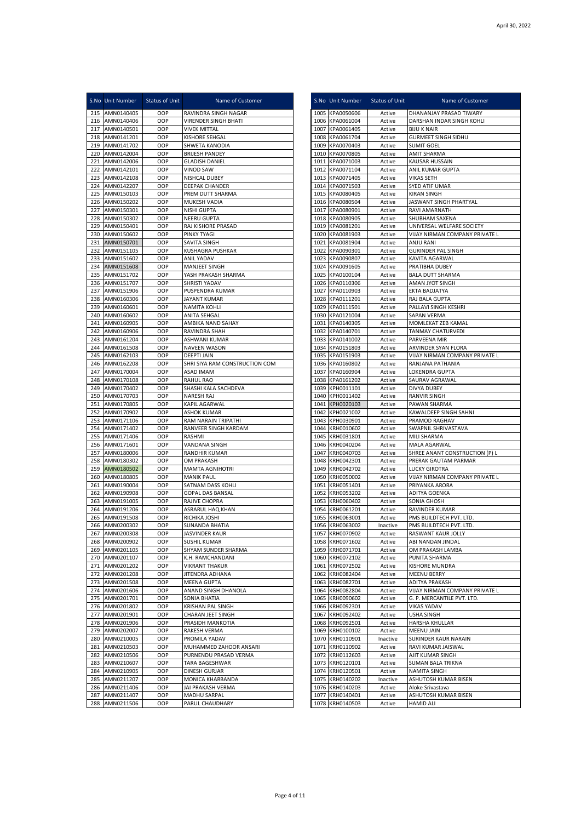|            | S.No Unit Number         | <b>Status of Unit</b> | Name of Customer                                   |              | S.No Unit Number                   | Status of Unit     | Name of Customer                                   |
|------------|--------------------------|-----------------------|----------------------------------------------------|--------------|------------------------------------|--------------------|----------------------------------------------------|
| 215        | AMN0140405               | OOP                   | RAVINDRA SINGH NAGAR                               | 1005         | KPA0050606                         | Active             | DHANANJAY PRASAD TIWARY                            |
|            | 216 AMN0140406           | OOP                   | <b>VIRENDER SINGH BHATI</b>                        |              | 1006 KPA0061004                    | Active             | DARSHAN INDAR SINGH KOHLI                          |
| 217        | AMN0140501               | OOP                   | <b>VIVEK MITTAL</b>                                | 1007         | KPA0061405                         | Active             | <b>BIJU K NAIR</b>                                 |
| 218<br>219 | AMN0141201<br>AMN0141702 | OOP<br>OOP            | KISHORE SEHGAL<br>SHWETA KANODIA                   | 1008<br>1009 | KPA0061704<br>KPA0070403           | Active<br>Active   | <b>GURMEET SINGH SIDHU</b><br><b>SUMIT GOEL</b>    |
| 220        | AMN0142004               | OOP                   | <b>BRIJESH PANDEY</b>                              |              | 1010 KPA0070805                    | Active             | AMIT SHARMA                                        |
| 221        | AMN0142006               | OOP                   | <b>GLADISH DANIEL</b>                              |              | 1011 KPA0071003                    | Active             | KAUSAR HUSSAIN                                     |
| 222        | AMN0142101               | OOP                   | <b>VINOD SAW</b>                                   | 1012         | KPA0071104                         | Active             | ANIL KUMAR GUPTA                                   |
| 223        | AMN0142108               | OOP                   | NISHCAL DUBEY                                      | 1013         | KPA0071405                         | Active             | VIKAS SETH                                         |
| 224        | AMN0142207               | OOP                   | DEEPAK CHANDER                                     |              | 1014 KPA0071503                    | Active             | SYED ATIF UMAR                                     |
| 225        | AMN0150103               | OOP                   | PREM DUTT SHARMA                                   |              | 1015 KPA0080405                    | Active             | <b>KIRAN SINGH</b>                                 |
| 226        | AMN0150202               | OOP                   | MUKESH VADIA                                       |              | 1016 KPA0080504                    | Active             | JASWANT SINGH PHARTYAL                             |
| 227        | AMN0150301               | OOP                   | NISHI GUPTA                                        | 1017         | KPA0080901                         | Active             | RAVI AMARNATH                                      |
| 228<br>229 | AMN0150302<br>AMN0150401 | OOP<br>OOP            | NEERU GUPTA<br>RAJ KISHORE PRASAD                  | 1018         | KPA0080905<br>1019 KPA0081201      | Active<br>Active   | SHUBHAM SAXENA<br>UNIVERSAL WELFARE SOCIETY        |
| 230        | AMN0150602               | OOP                   | PINKY TYAGI                                        |              | 1020 KPA0081903                    | Active             | VIJAY NIRMAN COMPANY PRIVATE L                     |
| 231        | AMN0150701               | OOP                   | SAVITA SINGH                                       | 1021         | KPA0081904                         | Active             | ANJU RANI                                          |
| 232        | AMN0151105               | OOP                   | <b>KUSHAGRA PUSHKAR</b>                            | 1022         | KPA0090301                         | Active             | <b>GURINDER PAL SINGH</b>                          |
| 233        | AMN0151602               | OOP                   | <b>ANIL YADAV</b>                                  | 1023         | KPA0090807                         | Active             | KAVITA AGARWAL                                     |
| 234        | AMN0151608               | OOP                   | MANJEET SINGH                                      | 1024         | KPA0091605                         | Active             | PRATIBHA DUBEY                                     |
| 235        | AMN0151702               | OOP                   | YASH PRAKASH SHARMA                                | 1025         | KPA0100104                         | Active             | <b>BALA DUTT SHARMA</b>                            |
| 236        | AMN0151707               | OOP                   | SHRISTI YADAV                                      |              | 1026 KPA0110306                    | Active             | AMAN JYOT SINGH                                    |
| 237<br>238 | AMN0151906<br>AMN0160306 | OOP<br>OOP            | PUSPENDRA KUMAR<br><b>JAYANT KUMAR</b>             | 1027         | KPA0110903<br>1028 KPA0111201      | Active<br>Active   | EKTA BADJATYA<br>RAJ BALA GUPTA                    |
| 239        | AMN0160601               | OOP                   | NAMITA KOHLI                                       | 1029         | KPA0111501                         | Active             | PALLAVI SINGH KESHRI                               |
| 240        | AMN0160602               | OOP                   | <b>ANITA SEHGAL</b>                                | 1030         | KPA0121004                         | Active             | SAPAN VERMA                                        |
| 241        | AMN0160905               | OOP                   | AMBIKA NAND SAHAY                                  | 1031         | KPA0140305                         | Active             | MOMLEKAT ZEB KAMAL                                 |
| 242        | AMN0160906               | OOP                   | RAVINDRA SHAH                                      | 1032         | KPA0140701                         | Active             | TANMAY CHATURVEDI                                  |
| 243        | AMN0161204               | OOP                   | ASHWANI KUMAR                                      | 1033         | KPA0141002                         | Active             | PARVEENA MIR                                       |
| 244        | AMN0161508               | OOP                   | <b>NAVEEN WASON</b>                                | 1034         | KPA0151803                         | Active             | ARVINDER SYAN FLORA                                |
| 245        | AMN0162103               | OOP<br>OOP            | <b>DEEPTI JAIN</b>                                 | 1035<br>1036 | KPA0151903                         | Active             | VIJAY NIRMAN COMPANY PRIVATE L<br>RANJANA PATHANIA |
| 246<br>247 | AMN0162208<br>AMN0170004 | OOP                   | SHRI SIYA RAM CONSTRUCTION COM<br><b>ASAD IMAM</b> | 1037         | KPA0160802<br>KPA0160904           | Active<br>Active   | LOKENDRA GUPTA                                     |
| 248        | AMN0170108               | OOP                   | <b>RAHUL RAO</b>                                   | 1038         | KPA0161202                         | Active             | SAURAV AGRAWAL                                     |
| 249        | AMN0170402               | OOP                   | SHASHI KALA SACHDEVA                               | 1039         | KPH0011101                         | Active             | <b>DIVYA DUBEY</b>                                 |
| 250        | AMN0170703               | OOP                   | NARESH RAJ                                         |              | 1040 KPH0011402                    | Active             | <b>RANVIR SINGH</b>                                |
| 251        | AMN0170805               | OOP                   | KAPIL AGARWAL                                      |              | 1041 KPH0020103                    | Active             | PAWAN SHARMA                                       |
| 252        | AMN0170902               | OOP                   | <b>ASHOK KUMAR</b>                                 | 1042         | KPH0021002                         | Active             | KAWALDEEP SINGH SAHNI                              |
| 253<br>254 | AMN0171106<br>AMN0171402 | OOP<br>OOP            | RAM NARAIN TRIPATHI<br>RANVEER SINGH KARDAM        | 1043<br>1044 | KPH0030901<br>KRH0010602           | Active<br>Active   | PRAMOD RAGHAV<br>SWAPNIL SHRIVASTAVA               |
| 255        | AMN0171406               | OOP                   | RASHMI                                             | 1045         | KRH0031801                         | Active             | MILI SHARMA                                        |
| 256        | AMN0171601               | OOP                   | VANDANA SINGH                                      | 1046         | KRH0040204                         | Active             | MALA AGARWAL                                       |
| 257        | AMN0180006               | OOP                   | <b>RANDHIR KUMAR</b>                               | 1047         | KRH0040703                         | Active             | SHREE ANANT CONSTRUCTION (P) L                     |
| 258        | AMN0180302               | OOP                   | OM PRAKASH                                         | 1048         | KRH0042301                         | Active             | PRERAK GAUTAM PARMAR                               |
| 259        | AMN0180502               | OOP                   | <b>MAMTA AGNIHOTRI</b>                             |              | 1049 KRH0042702                    | Active             | <b>LUCKY GIROTRA</b>                               |
| 260        | AMN0180805               | OOP                   | <b>MANIK PAUL</b>                                  |              | 1050 KRH0050002                    | Active             | VIJAY NIRMAN COMPANY PRIVATE L                     |
| 261<br>262 | AMN0190004<br>AMN0190908 | OOP<br>OOP            | SATNAM DASS KOHLI<br><b>GOPAL DAS BANSAL</b>       | 1051<br>1052 | KRH0051401<br>KRH0053202           | Active<br>Active   | PRIYANKA ARORA<br><b>ADITYA GOENKA</b>             |
| 263        | AMN0191005               | OOP                   | RAJIVE CHOPRA                                      | 1053         | KRH0060402                         | Active             | SONIA GHOSH                                        |
| 264        | AMN0191206               | OOP                   | ASRARUL HAQ KHAN                                   | 1054         | KRH0061201                         | Active             | RAVINDER KUMAR                                     |
| 265        | AMN0191508               | OOP                   | RICHIKA JOSHI                                      | 1055         | KRH0063001                         | Active             | PMS BUILDTECH PVT. LTD.                            |
|            | 266 AMN0200302           | OOP                   | <b>SUNANDA BHATIA</b>                              |              | 1056 KRH0063002                    | Inactive           | PMS BUILDTECH PVT. LTD.                            |
| 267        | AMN0200308               | OOP                   | <b>JASVINDER KAUR</b>                              |              | 1057 KRH0070902                    | Active             | RASWANT KAUR JOLLY                                 |
| 268        | AMN0200902               | OOP                   | SUSHIL KUMAR                                       |              | 1058 KRH0071602                    | Active             | ABI NANDAN JINDAL                                  |
| 269<br>270 | AMN0201105<br>AMN0201107 | OOP<br>OOP            | SHYAM SUNDER SHARMA<br>K.H. RAMCHANDANI            |              | 1059 KRH0071701<br>1060 KRH0072102 | Active<br>Active   | OM PRAKASH LAMBA                                   |
| 271        | AMN0201202               | OOP                   | VIKRANT THAKUR                                     | 1061         | KRH0072502                         | Active             | PUNITA SHARMA<br>KISHORE MUNDRA                    |
| 272        | AMN0201208               | OOP                   | JITENDRA ADHANA                                    |              | 1062 KRH0082404                    | Active             | MEENU BERRY                                        |
| 273        | AMN0201508               | OOP                   | MEENA GUPTA                                        | 1063         | KRH0082701                         | Active             | ADITYA PRAKASH                                     |
| 274        | AMN0201606               | OOP                   | ANAND SINGH DHANOLA                                | 1064         | KRH0082804                         | Active             | VIJAY NIRMAN COMPANY PRIVATE L                     |
| 275        | AMN0201701               | OOP                   | SONIA BHATIA                                       | 1065         | KRH0090602                         | Active             | G. P. MERCANTILE PVT. LTD.                         |
| 276        | AMN0201802               | OOP                   | KRISHAN PAL SINGH                                  | 1066         | KRH0092301                         | Active             | <b>VIKAS YADAV</b>                                 |
| 277<br>278 | AMN0201901<br>AMN0201906 | OOP<br>OOP            | CHARAN JEET SINGH<br>PRASIDH MANKOTIA              | 1067<br>1068 | KRH0092402<br>KRH0092501           | Active<br>Active   | USHA SINGH<br>HARSHA KHULLAR                       |
| 279        | AMN0202007               | OOP                   | RAKESH VERMA                                       |              | 1069 KRH0100102                    | Active             | MEENU JAIN                                         |
| 280        | AMN0210005               | OOP                   | PROMILA YADAV                                      |              | 1070 KRH0110901                    | Inactive           | SURINDER KAUR NARAIN                               |
| 281        | AMN0210503               | OOP                   | MUHAMMED ZAHOOR ANSARI                             |              | 1071 KRH0110902                    | Active             | RAVI KUMAR JAISWAL                                 |
| 282        | AMN0210506               | OOP                   | PURNENDU PRASAD VERMA                              | 1072         | KRH0112603                         | Active             | AJIT KUMAR SINGH                                   |
| 283        | AMN0210607               | OOP                   | TARA BAGESHWAR                                     |              | 1073 KRH0120101                    | Active             | SUMAN BALA TRIKNA                                  |
| 284<br>285 | AMN0210905<br>AMN0211207 | OOP<br>OOP            | DINESH GURJAR<br>MONICA KHARBANDA                  |              | 1074 KRH0120501<br>1075 KRH0140202 | Active<br>Inactive | NAMITA SINGH<br>ASHUTOSH KUMAR BISEN               |
| 286        | AMN0211406               | OOP                   | JAI PRAKASH VERMA                                  |              | 1076 KRH0140203                    | Active             | Aloke Srivastava                                   |
| 287        | AMN0211407               | OOP                   | MADHU SARPAL                                       | 1077         | KRH0140401                         | Active             | ASHUTOSH KUMAR BISEN                               |
| 288        | AMN0211506               | OOP                   | PARUL CHAUDHARY                                    |              | 1078 KRH0140503                    | Active             | <b>HAMID ALI</b>                                   |
|            |                          |                       |                                                    |              |                                    |                    |                                                    |

|              | S.No Unit Number                   | Status of Unit   | Name of Customer                                       |
|--------------|------------------------------------|------------------|--------------------------------------------------------|
|              | 1005 KPA0050606                    | Active           | DHANANJAY PRASAD TIWARY                                |
|              | 1006 KPA0061004                    | Active           | DARSHAN INDAR SINGH KOHLI                              |
|              | 1007 KPA0061405                    | Active           | <b>BIJU K NAIR</b>                                     |
| 1008         | KPA0061704<br>1009 KPA0070403      | Active           | <b>GURMEET SINGH SIDHU</b><br><b>SUMIT GOEL</b>        |
|              | 1010 KPA0070805                    | Active<br>Active | AMIT SHARMA                                            |
|              | 1011 KPA0071003                    | Active           | KAUSAR HUSSAIN                                         |
|              | 1012 KPA0071104                    | Active           | ANIL KUMAR GUPTA                                       |
|              | 1013 KPA0071405                    | Active           | VIKAS SETH                                             |
|              | 1014 KPA0071503                    | Active           | SYED ATIF UMAR                                         |
|              | 1015 KPA0080405                    | Active           | KIRAN SINGH                                            |
|              | 1016 KPA0080504                    | Active           | JASWANT SINGH PHARTYAL                                 |
|              | 1017 KPA0080901                    | Active           | RAVI AMARNATH                                          |
|              | 1018 KPA0080905<br>1019 KPA0081201 | Active<br>Active | SHUBHAM SAXENA<br>UNIVERSAL WELFARE SOCIETY            |
|              | 1020 KPA0081903                    | Active           | VIJAY NIRMAN COMPANY PRIVATE L                         |
|              | 1021 KPA0081904                    | Active           | ANJU RANI                                              |
|              | 1022 KPA0090301                    | Active           | <b>GURINDER PAL SINGH</b>                              |
|              | 1023 KPA0090807                    | Active           | KAVITA AGARWAL                                         |
|              | 1024 KPA0091605                    | Active           | PRATIBHA DUBEY                                         |
|              | 1025 KPA0100104                    | Active           | <b>BALA DUTT SHARMA</b>                                |
|              | 1026 KPA0110306                    | Active           | AMAN JYOT SINGH                                        |
|              | 1027 KPA0110903                    | Active           | EKTA BADJATYA                                          |
| 1029         | 1028 KPA0111201<br>KPA0111501      | Active<br>Active | RAJ BALA GUPTA<br>PALLAVI SINGH KESHRI                 |
| 1030         | KPA0121004                         | Active           | <b>SAPAN VERMA</b>                                     |
|              | 1031 KPA0140305                    | Active           | MOMLEKAT ZEB KAMAL                                     |
|              | 1032 KPA0140701                    | Active           | TANMAY CHATURVEDI                                      |
| 1033         | KPA0141002                         | Active           | PARVEENA MIR                                           |
|              | 1034 KPA0151803                    | Active           | ARVINDER SYAN FLORA                                    |
| 1035         | KPA0151903                         | Active           | VIJAY NIRMAN COMPANY PRIVATE L                         |
|              | 1036 KPA0160802                    | Active           | RANJANA PATHANIA                                       |
| 1037         | KPA0160904                         | Active           | LOKENDRA GUPTA                                         |
|              | 1038 KPA0161202                    | Active           | SAURAV AGRAWAL                                         |
|              | 1039 KPH0011101<br>1040 KPH0011402 | Active<br>Active | DIVYA DUBEY<br>RANVIR SINGH                            |
|              | 1041 KPH0020103                    | Active           | PAWAN SHARMA                                           |
| 1042         | KPH0021002                         | Active           | KAWALDEEP SINGH SAHNI                                  |
| 1043         | KPH0030901                         | Active           | PRAMOD RAGHAV                                          |
|              | 1044 KRH0010602                    | Active           | SWAPNIL SHRIVASTAVA                                    |
| 1045         | KRH0031801                         | Active           | MILI SHARMA                                            |
| 1046         | KRH0040204                         | Active           | MALA AGARWAL                                           |
| 1047         | KRH0040703                         | Active           | SHREE ANANT CONSTRUCTION (P) L                         |
|              | 1048 KRH0042301                    | Active           | PRERAK GAUTAM PARMAR                                   |
|              | 1049 KRH0042702<br>KRH0050002      | Active           | <b>LUCKY GIROTRA</b><br>VIJAY NIRMAN COMPANY PRIVATE L |
| 1050<br>1051 | KRH0051401                         | Active<br>Active | PRIYANKA ARORA                                         |
|              | 1052 KRH0053202                    | Active           | ADITYA GOENKA                                          |
|              | 1053 KRH0060402                    | Active           | SONIA GHOSH                                            |
| 1054         | KRH0061201                         | Active           | RAVINDER KUMAR                                         |
| 1055         | KRH0063001                         | Active           | PMS BUILDTECH PVT. LTD.                                |
|              | 1056 KRH0063002                    | Inactive         | PMS BUILDTECH PVT. LTD.                                |
| 1057         | KRH0070902                         | Active           | RASWANT KAUR JOLLY                                     |
| 1058         | KRH0071602                         | Active           | ABI NANDAN JINDAL                                      |
| 1059         | KRH0071701                         | Active           | OM PRAKASH LAMBA                                       |
|              | 1060 KRH0072102<br>KRH0072502      | Active           | PUNITA SHARMA<br>KISHORE MUNDRA                        |
| 1061<br>1062 | KRH0082404                         | Active<br>Active | MEENU BERRY                                            |
| 1063         | KRH0082701                         | Active           | ADITYA PRAKASH                                         |
| 1064         | KRH0082804                         | Active           | VIJAY NIRMAN COMPANY PRIVATE L                         |
|              | 1065 KRH0090602                    | Active           | G. P. MERCANTILE PVT. LTD.                             |
| 1066         | KRH0092301                         | Active           | <b>VIKAS YADAV</b>                                     |
| 1067         | KRH0092402                         | Active           | <b>USHA SINGH</b>                                      |
| 1068         | KRH0092501                         | Active           | HARSHA KHULLAR                                         |
| 1069         | KRH0100102                         | Active           | MEENU JAIN                                             |
| 1070         | KRH0110901                         | Inactive         | SURINDER KAUR NARAIN                                   |
| 1071         | KRH0110902<br>KRH0112603           | Active           | RAVI KUMAR JAISWAL<br>AJIT KUMAR SINGH                 |
| 1072         | 1073 KRH0120101                    | Active<br>Active | SUMAN BALA TRIKNA                                      |
|              | 1074 KRH0120501                    | Active           | NAMITA SINGH                                           |
| 1075         | KRH0140202                         | Inactive         | ASHUTOSH KUMAR BISEN                                   |
| 1076         | KRH0140203                         | Active           | Aloke Srivastava                                       |
| 1077         | KRH0140401                         | Active           | ASHUTOSH KUMAR BISEN                                   |
| 1078         | KRH0140503                         | Active           | HAMID ALI                                              |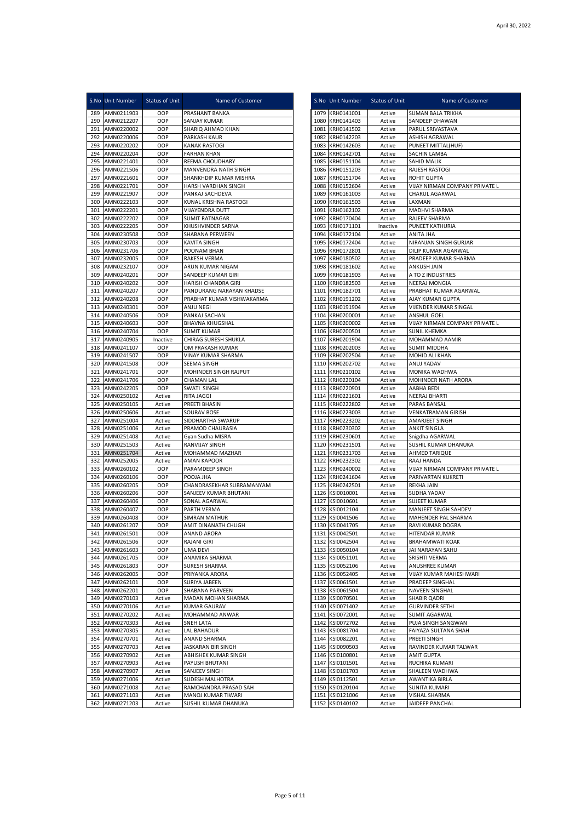|            | S.No Unit Number         | <b>Status of Unit</b> | Name of Customer                         |              | S.No Unit Number         | Status of Unit   | Name of Customer                                        |
|------------|--------------------------|-----------------------|------------------------------------------|--------------|--------------------------|------------------|---------------------------------------------------------|
| 289        | AMN0211903               | OOP                   | PRASHANT BANKA                           | 1079         | KRH0141001               | Active           | <b>SUMAN BALA TRIKHA</b>                                |
| 290        | AMN0212207               | OOP                   | SANJAY KUMAR                             | 1080         | KRH0141403               | Active           | SANDEEP DHAWAN                                          |
| 291        | AMN0220002               | OOP                   | SHARIQ AHMAD KHAN                        | 1081         | KRH0141502               | Active           | PARUL SRIVASTAVA                                        |
| 292        | AMN0220006               | OOP                   | PARKASH KAUR                             | 1082         | KRH0142203               | Active           | ASHISH AGRAWAL                                          |
| 293        | AMN0220202               | OOP                   | <b>KANAK RASTOGI</b>                     | 1083         | KRH0142603               | Active           | PUNEET MITTAL(HUF)                                      |
| 294        | AMN0220204               | OOP                   | <b>FARHAN KHAN</b>                       | 1084         | KRH0142701               | Active           | SACHIN LAMBA                                            |
| 295        | AMN0221401               | OOP                   | REEMA CHOUDHARY                          | 1085         | KRH0151104               | Active           | <b>SAHID MALIK</b>                                      |
| 296        | AMN0221506               | OOP                   | MANVENDRA NATH SINGH                     | 1086         | KRH0151203               | Active           | RAJESH RASTOGI                                          |
| 297        | AMN0221601               | OOP                   | SHANKHDIP KUMAR MISHRA                   | 1087         | KRH0151704               | Active           | <b>ROHIT GUPTA</b>                                      |
| 298        | AMN0221701               | OOP                   | HARSH VARDHAN SINGH                      | 1088         | KRH0152604               | Active           | VIJAY NIRMAN COMPANY PRIVATE L<br><b>CHARUL AGARWAL</b> |
| 299<br>300 | AMN0221907<br>AMN0222103 | OOP<br>OOP            | PANKAJ SACHDEVA<br>KUNAL KRISHNA RASTOGI | 1089<br>1090 | KRH0161003<br>KRH0161503 | Active<br>Active | LAXMAN                                                  |
| 301        | AMN0222201               | OOP                   | VIJAYENDRA DUTT                          | 1091         | KRH0162102               | Active           | <b>MADHVI SHARMA</b>                                    |
| 302        | AMN0222202               | OOP                   | <b>SUMIT RATNAGAR</b>                    | 1092         | KRH0170404               | Active           | RAJEEV SHARMA                                           |
| 303        | AMN0222205               | OOP                   | KHUSHVINDER SARNA                        | 1093         | KRH0171101               | Inactive         | <b>PUNEET KATHURIA</b>                                  |
| 304        | AMN0230508               | OOP                   | SHABANA PERWEEN                          | 1094         | KRH0172104               | Active           | ANITA JHA                                               |
| 305        | AMN0230703               | OOP                   | KAVITA SINGH                             | 1095         | KRH0172404               | Active           | NIRANJAN SINGH GURJAR                                   |
| 306        | AMN0231706               | OOP                   | POONAM BHAN                              | 1096         | KRH0172801               | Active           | DILIP KUMAR AGARWAL                                     |
| 307        | AMN0232005               | OOP                   | RAKESH VERMA                             | 1097         | KRH0180502               | Active           | PRADEEP KUMAR SHARMA                                    |
| 308        | AMN0232107               | OOP                   | ARUN KUMAR NIGAM                         | 1098         | KRH0181602               | Active           | ANKUSH JAIN                                             |
| 309        | AMN0240201               | OOP                   | SANDEEP KUMAR GIRI                       | 1099         | KRH0181903               | Active           | A TO Z INDUSTRIES                                       |
| 310        | AMN0240202               | OOP                   | HARISH CHANDRA GIRI                      |              | 1100 KRH0182503          | Active           | NEERAJ MONGIA                                           |
| 311        | AMN0240207               | OOP                   | PANDURANG NARAYAN KHADSE                 | 1101         | KRH0182701               | Active           | PRABHAT KUMAR AGARWAL                                   |
| 312        | AMN0240208               | OOP                   | PRABHAT KUMAR VISHWAKARMA                | 1102         | KRH0191202               | Active           | AJAY KUMAR GUPTA                                        |
| 313        | AMN0240301               | OOP                   | ANJU NEGI                                | 1103         | KRH0191904               | Active           | VIJENDER KUMAR SINGAL                                   |
| 314        | AMN0240506               | OOP                   | PANKAJ SACHAN                            | 1104         | KRH0200001               | Active           | ANSHUL GOEL                                             |
| 315        | AMN0240603               | OOP                   | <b>BHAVNA KHUGSHAL</b>                   | 1105         | KRH0200002               | Active           | VIJAY NIRMAN COMPANY PRIVATE L                          |
| 316        | AMN0240704               | OOP                   | <b>SUMIT KUMAR</b>                       | 1106         | KRH0200501               | Active           | <b>SUNIL KHEMKA</b>                                     |
| 317        | AMN0240905               | Inactive              | CHIRAG SURESH SHUKLA                     | 1107         | KRH0201904               | Active           | MOHAMMAD AAMIR                                          |
| 318<br>319 | AMN0241107<br>AMN0241507 | OOP                   | OM PRAKASH KUMAR                         | 1108         | KRH0202003               | Active<br>Active | <b>SUMIT MIDDHA</b>                                     |
| 320        | AMN0241508               | OOP<br>OOP            | VINAY KUMAR SHARMA<br>SEEMA SINGH        | 1109<br>1110 | KRH0202504<br>KRH0202702 | Active           | MOHID ALI KHAN<br>ANUJ YADAV                            |
| 321        | AMN0241701               | OOP                   | MOHINDER SINGH RAJPUT                    | 1111         | KRH0210102               | Active           | MONIKA WADHWA                                           |
| 322        | AMN0241706               | OOP                   | <b>CHAMAN LAL</b>                        | 1112         | KRH0220104               | Active           | MOHINDER NATH ARORA                                     |
| 323        | AMN0242205               | OOP                   | SWATI SINGH                              | 1113         | KRH0220901               | Active           | AABHA BEDI                                              |
| 324        | AMN0250102               | Active                | RITA JAGGI                               | 1114         | KRH0221601               | Active           | <b>NEERAJ BHARTI</b>                                    |
| 325        | AMN0250105               | Active                | PREETI BHASIN                            | 1115         | KRH0222802               | Active           | PARAS BANSAL                                            |
| 326        | AMN0250606               | Active                | SOURAV BOSE                              | 1116         | KRH0223003               | Active           | <b>VENKATRAMAN GIRISH</b>                               |
| 327        | AMN0251004               | Active                | SIDDHARTHA SWARUP                        | 1117         | KRH0223202               | Active           | AMARJEET SINGH                                          |
| 328        | AMN0251006               | Active                | PRAMOD CHAURASIA                         | 1118         | KRH0230302               | Active           | <b>ANKIT SINGLA</b>                                     |
| 329        | AMN0251408               | Active                | Gyan Sudha MISRA                         | 1119         | KRH0230601               | Active           | Snigdha AGARWAL                                         |
| 330        | AMN0251503               | Active                | RANVIJAY SINGH                           | 1120         | KRH0231501               | Active           | SUSHIL KUMAR DHANUKA                                    |
| 331        | AMN0251704               | Active                | MOHAMMAD MAZHAR                          | 1121         | KRH0231703               | Active           | AHMED TARIQUE                                           |
| 332        | AMN0252005               | Active                | AMAN KAPOOR                              | 1122         | KRH0232302               | Active           | RAAJ HANDA                                              |
| 333        | AMN0260102               | OOP                   | PARAMDEEP SINGH                          | 1123         | KRH0240002               | Active           | VIJAY NIRMAN COMPANY PRIVATE L                          |
| 334        | AMN0260106               | OOP                   | POOJA JHA                                | 1124         | KRH0241604               | Active           | PARIVARTAN KUKRETI                                      |
| 335        | AMN0260205               | OOP                   | CHANDRASEKHAR SUBRAMANYAM                | 1125         | KRH0242501               | Active           | <b>REKHA JAIN</b>                                       |
| 336        | AMN0260206               | OOP                   | SANJEEV KUMAR BHUTANI                    | 1126         | KSI0010001               | Active           | SUDHA YADAV                                             |
| 337<br>338 | AMN0260406<br>AMN0260407 | OOP<br>OOP            | SONAL AGARWAL<br>PARTH VERMA             | 1127<br>1128 | KSI0010601<br>KSI0012104 | Active<br>Active | <b>SUJEET KUMAR</b><br>MANJEET SINGH SAHDEV             |
| 339        | AMN0260408               | OOP                   | SIMRAN MATHUR                            | 1129         | KSI0041506               | Active           | MAHENDER PAL SHARMA                                     |
| 340        | AMN0261207               | OOP                   | AMIT DINANATH CHUGH                      | 1130         | KSI0041705               | Active           | RAVI KUMAR DOGRA                                        |
|            | 341 AMN0261501           | OOP                   | <b>ANAND ARORA</b>                       |              | 1131 KSI0042501          | Active           | HITENDAR KUMAR                                          |
| 342        | AMN0261506               | OOP                   | <b>RAJANI GIRI</b>                       |              | 1132 KSI0042504          | Active           | <b>BRAHAMWATI KOAK</b>                                  |
| 343        | AMN0261603               | OOP                   | UMA DEVI                                 | 1133         | KSI0050104               | Active           | JAI NARAYAN SAHU                                        |
| 344        | AMN0261705               | OOP                   | ANAMIKA SHARMA                           |              | 1134 KSI0051101          | Active           | SRISHTI VERMA                                           |
| 345        | AMN0261803               | OOP                   | <b>SURESH SHARMA</b>                     |              | 1135 KSI0052106          | Active           | ANUSHREE KUMAR                                          |
| 346        | AMN0262005               | OOP                   | PRIYANKA ARORA                           |              | 1136 KSI0052405          | Active           | VIJAY KUMAR MAHESHWARI                                  |
| 347        | AMN0262101               | OOP                   | SURIYA JABEEN                            | 1137         | KSI0061501               | Active           | PRADEEP SINGHAL                                         |
| 348        | AMN0262201               | OOP                   | SHABANA PARVEEN                          | 1138         | KSI0061504               | Active           | NAVEEN SINGHAL                                          |
| 349        | AMN0270103               | Active                | MADAN MOHAN SHARMA                       |              | 1139 KSI0070501          | Active           | SHABIR QADRI                                            |
| 350        | AMN0270106               | Active                | <b>KUMAR GAURAV</b>                      | 1140         | KSI0071402               | Active           | <b>GURVINDER SETHI</b>                                  |
| 351        | AMN0270202               | Active                | MOHAMMAD ANWAR                           |              | 1141 KSI0072001          | Active           | <b>SUMIT AGARWAL</b>                                    |
| 352        | AMN0270303               | Active                | SNEH LATA                                |              | 1142 KSI0072702          | Active           | PUJA SINGH SANGWAN                                      |
| 353        | AMN0270305               | Active                | LAL BAHADUR                              | 1143         | KSI0081704               | Active           | FAIYAZA SULTANA SHAH                                    |
| 354        | AMN0270701               | Active                | ANAND SHARMA                             |              | 1144 KSI0082201          | Active           | PREETI SINGH                                            |
| 355        | AMN0270703               | Active                | JASKARAN BIR SINGH                       |              | 1145 KSI0090503          | Active           | RAVINDER KUMAR TALWAR                                   |
| 356        | AMN0270902               | Active                | ABHISHEK KUMAR SINGH                     | 1147         | 1146 KSI0100801          | Active           | <b>AMIT GUPTA</b>                                       |
| 357        | AMN0270903<br>AMN0270907 | Active<br>Active      | PAYUSH BHUTANI<br>SANJEEV SINGH          | 1148         | KSI0101501<br>KSI0101703 | Active<br>Active | RUCHIKA KUMARI<br>SHALEEN WADHWA                        |
| 358<br>359 | AMN0271006               | Active                | SUDESH MALHOTRA                          |              | 1149 KSI0112501          | Active           | AWANTIKA BIRLA                                          |
| 360        | AMN0271008               | Active                | RAMCHANDRA PRASAD SAH                    | 1150         | KSI0120104               | Active           | <b>SUNITA KUMARI</b>                                    |
| 361        | AMN0271103               | Active                | MANOJ KUMAR TIWARI                       | 1151         | KSI0121006               | Active           | VISHAL SHARMA                                           |
| 362        | AMN0271203               | Active                | SUSHIL KUMAR DHANUKA                     | 1152         | KSI0140102               | Active           | JAIDEEP PANCHAL                                         |
|            |                          |                       |                                          |              |                          |                  |                                                         |

|              | S.No Unit Number                   | Status of Unit   | Name of Customer                               |
|--------------|------------------------------------|------------------|------------------------------------------------|
|              | 1079 KRH0141001                    | Active           | SUMAN BALA TRIKHA                              |
|              | 1080 KRH0141403<br>1081 KRH0141502 | Active<br>Active | SANDEEP DHAWAN<br>PARUL SRIVASTAVA             |
|              | 1082 KRH0142203                    | Active           | ASHISH AGRAWAL                                 |
|              | 1083 KRH0142603                    | Active           | PUNEET MITTAL(HUF)                             |
|              | 1084 KRH0142701                    | Active           | SACHIN LAMBA                                   |
| 1085         | KRH0151104<br>1086 KRH0151203      | Active<br>Active | SAHID MALIK<br>RAJESH RASTOGI                  |
|              | 1087 KRH0151704                    | Active           | ROHIT GUPTA                                    |
|              | 1088 KRH0152604                    | Active           | VIJAY NIRMAN COMPANY PRIVATE L                 |
|              | 1089 KRH0161003                    | Active           | CHARUL AGARWAL                                 |
|              | 1090 KRH0161503<br>1091 KRH0162102 | Active<br>Active | LAXMAN<br>MADHVI SHARMA                        |
|              | 1092 KRH0170404                    | Active           | RAJEEV SHARMA                                  |
|              | 1093 KRH0171101                    | Inactive         | PUNEET KATHURIA                                |
|              | 1094 KRH0172104<br>1095 KRH0172404 | Active<br>Active | ANITA JHA<br>NIRANJAN SINGH GURJAR             |
|              | 1096 KRH0172801                    | Active           | DILIP KUMAR AGARWAL                            |
|              | 1097 KRH0180502                    | Active           | PRADEEP KUMAR SHARMA                           |
| 1098         | KRH0181602                         | Active           | ANKUSH JAIN                                    |
|              | 1099 KRH0181903                    | Active           | A TO Z INDUSTRIES<br>NEERAJ MONGIA             |
|              | 1100 KRH0182503<br>1101 KRH0182701 | Active<br>Active | PRABHAT KUMAR AGARWAL                          |
|              | 1102 KRH0191202                    | Active           | AJAY KUMAR GUPTA                               |
|              | 1103 KRH0191904                    | Active           | VIJENDER KUMAR SINGAL                          |
|              | 1104 KRH0200001                    | Active           | ANSHUL GOEL                                    |
|              | 1105 KRH0200002<br>1106 KRH0200501 | Active<br>Active | VIJAY NIRMAN COMPANY PRIVATE L<br>SUNIL KHEMKA |
|              | 1107 KRH0201904                    | Active           | MOHAMMAD AAMIR                                 |
|              | 1108 KRH0202003                    | Active           | SUMIT MIDDHA                                   |
|              | 1109 KRH0202504                    | Active           | MOHID ALI KHAN                                 |
|              | 1110 KRH0202702<br>1111 KRH0210102 | Active<br>Active | ANUJ YADAV<br>MONIKA WADHWA                    |
|              | 1112 KRH0220104                    | Active           | MOHINDER NATH ARORA                            |
|              | 1113 KRH0220901                    | Active           | AABHA BEDI                                     |
|              | 1114 KRH0221601                    | Active           | NEERAJ BHARTI                                  |
|              | 1115 KRH0222802<br>1116 KRH0223003 | Active<br>Active | PARAS BANSAL<br>VENKATRAMAN GIRISH             |
|              | 1117 KRH0223202                    | Active           | AMARJEET SINGH                                 |
|              | 1118 KRH0230302                    | Active           | <b>ANKIT SINGLA</b>                            |
|              | 1119 KRH0230601                    | Active           | Snigdha AGARWAL                                |
|              | 1120 KRH0231501<br>1121 KRH0231703 | Active<br>Active | SUSHIL KUMAR DHANUKA<br>AHMED TARIQUE          |
|              | 1122 KRH0232302                    | Active           | RAAJ HANDA                                     |
|              | 1123 KRH0240002                    | Active           | VIJAY NIRMAN COMPANY PRIVATE L                 |
|              | 1124 KRH0241604                    | Active           | PARIVARTAN KUKRETI                             |
|              | 1125 KRH0242501<br>1126 KSI0010001 | Active<br>Active | REKHA JAIN<br>SUDHA YADAV                      |
| 1127         | KSI0010601                         | Active           | <b>SUJEET KUMAR</b>                            |
|              | 1128 KSI0012104                    | Active           | MANJEET SINGH SAHDEV                           |
|              | 1129 KSI0041506                    | Active           | MAHENDER PAL SHARMA<br>RAVI KUMAR DOGRA        |
|              | 1130 KSI0041705<br>1131 KSI0042501 | Active<br>Active | HITENDAR KUMAR                                 |
|              | 1132 KSI0042504                    | Active           | <b>BRAHAMWATI KOAK</b>                         |
|              | 1133 KSI0050104                    | Active           | JAI NARAYAN SAHU                               |
|              | 1134 KSI0051101                    | Active           | SRISHTI VERMA                                  |
|              | 1135 KSI0052106<br>1136 KSI0052405 | Active<br>Active | ANUSHREE KUMAR<br>VIJAY KUMAR MAHESHWARI       |
|              | 1137 KSI0061501                    | Active           | PRADEEP SINGHAL                                |
|              | 1138 KSI0061504                    | Active           | NAVEEN SINGHAL                                 |
| 1139         | KSI0070501                         | Active           | SHABIR QADRI<br><b>GURVINDER SETHI</b>         |
| 1140<br>1141 | KSI0071402<br>KSI0072001           | Active<br>Active | <b>SUMIT AGARWAL</b>                           |
|              | 1142 KSI0072702                    | Active           | PUJA SINGH SANGWAN                             |
| 1143         | KSI0081704                         | Active           | FAIYAZA SULTANA SHAH                           |
| 1144         | KSI0082201                         | Active           | PREETI SINGH                                   |
|              | 1145 KSI0090503<br>1146 KSI0100801 | Active<br>Active | RAVINDER KUMAR TALWAR<br>AMIT GUPTA            |
| 1147         | KSI0101501                         | Active           | RUCHIKA KUMARI                                 |
| 1148         | KSI0101703                         | Active           | SHALEEN WADHWA                                 |
| 1149         | KSI0112501                         | Active           | AWANTIKA BIRLA                                 |
|              | 1150 KSI0120104<br>1151 KSI0121006 | Active<br>Active | SUNITA KUMARI<br>VISHAL SHARMA                 |
| 1152         | KSI0140102                         | Active           | JAIDEEP PANCHAL                                |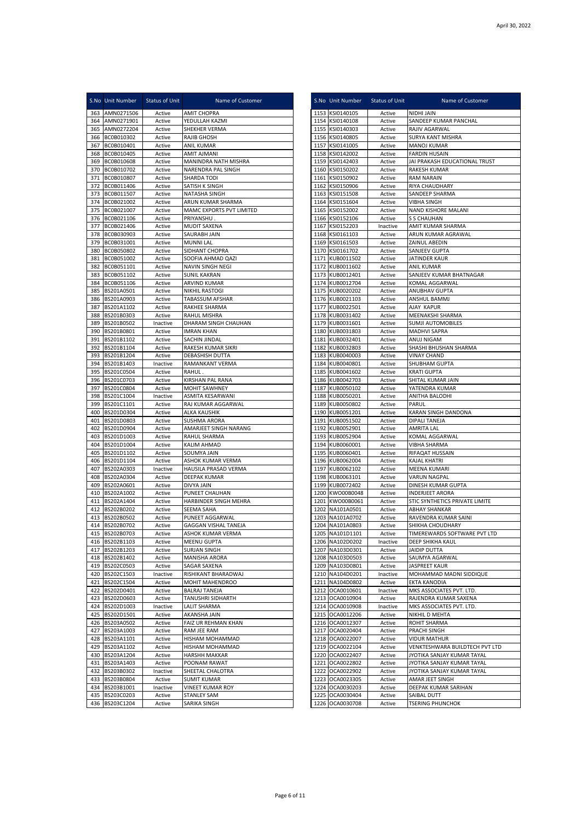|            | S.No Unit Number                 | <b>Status of Unit</b> | Name of Customer                              | S.No Unit Number                   | Status of Unit     | Name of Customer                                |
|------------|----------------------------------|-----------------------|-----------------------------------------------|------------------------------------|--------------------|-------------------------------------------------|
| 363        | AMN0271506                       | Active                | <b>AMIT CHOPRA</b>                            | 1153 KSI0140105                    | Active             | NIDHI JAIN                                      |
| 364        | AMN0271901                       | Active                | YEDULLAH KAZMI                                | 1154 KSI0140108                    | Active             | SANDEEP KUMAR PANCHAL                           |
| 365<br>366 | AMN0272204<br>BC0B010302         | Active<br>Active      | SHEKHER VERMA<br><b>RAJIB GHOSH</b>           | 1155 KSI0140303<br>1156 KSI0140805 | Active<br>Active   | RAJIV AGARWAL<br>SURYA KANT MISHRA              |
| 367        | BC0B010401                       | Active                | <b>ANIL KUMAR</b>                             | 1157 KSI0141005                    | Active             | <b>MANOJ KUMAR</b>                              |
| 368        | BC0B010405                       | Active                | AMIT AJMANI                                   | 1158 KSI0142002                    | Active             | <b>FARDIN HUSAIN</b>                            |
| 369        | BC0B010608                       | Active                | MANINDRA NATH MISHRA                          | 1159 KSI0142403                    | Active             | JAI PRAKASH EDUCATIONAL TRUST                   |
| 370        | BC0B010702                       | Active                | NARENDRA PAL SINGH                            | 1160 KSI0150202                    | Active             | <b>RAKESH KUMAR</b>                             |
| 371        | BC0B010807                       | Active                | SHARDA TODI                                   | 1161 KSI0150902                    | Active             | RAM NARAIN                                      |
| 372        | BC0B011406                       | Active                | SATISH K SINGH                                | 1162 KSI0150906                    | Active             | RIYA CHAUDHARY                                  |
| 374        | 373 BC0B011507                   | Active                | NATASHA SINGH                                 | 1163 KSI0151508                    | Active             | SANDEEP SHARMA                                  |
| 375        | BC0B021002<br>BC0B021007         | Active<br>Active      | ARUN KUMAR SHARMA<br>MAMC EXPORTS PVT LIMITED | 1164 KSI0151604<br>1165 KSI0152002 | Active<br>Active   | VIBHA SINGH<br>NAND KISHORE MALANI              |
| 376        | BC0B021106                       | Active                | PRIYANSHU                                     | 1166 KSI0152106                    | Active             | <b>S S CHAUHAN</b>                              |
| 377        | BC0B021406                       | Active                | <b>MUDIT SAXENA</b>                           | 1167 KSI0152203                    | Inactive           | AMIT KUMAR SHARMA                               |
| 378        | BC0B030903                       | Active                | SAURABH JAIN                                  | 1168 KSI0161103                    | Active             | ARUN KUMAR AGRAWAL                              |
| 379        | BC0B031001                       | Active                | <b>MUNNI LAL</b>                              | 1169 KSI0161503                    | Active             | ZAINUL ABEDIN                                   |
| 380        | BC0B050802                       | Active                | SIDHANT CHOPRA                                | 1170 KSI0161702                    | Active             | SANJEEV GUPTA                                   |
| 381        | BC0B051002                       | Active                | SOOFIA AHMAD QAZI                             | 1171 KUB0011502                    | Active             | JATINDER KAUR                                   |
| 382        | BC0B051101                       | Active                | NAVIN SINGH NEGI                              | 1172 KUB0011602                    | Active             | ANIL KUMAR                                      |
| 383<br>384 | BC0B051102<br>BC0B051106         | Active<br>Active      | SUNIL KAKRAN<br>ARVIND KUMAR                  | 1173 KUB0012401<br>1174 KUB0012704 | Active<br>Active   | SANJEEV KUMAR BHATNAGAR<br>KOMAL AGGARWAL       |
| 385        | BS201A0501                       | Active                | NIKHIL RASTOGI                                | 1175 KUB0020202                    | Active             | <b>ANUBHAV GUPTA</b>                            |
| 386        | BS201A0903                       | Active                | TABASSUM AFSHAR                               | 1176 KUB0021103                    | Active             | ANSHUL BAMMJ                                    |
| 387        | BS201A1102                       | Active                | RAKHEE SHARMA                                 | 1177 KUB0022501                    | Active             | <b>AJAY KAPUR</b>                               |
| 388        | BS201B0303                       | Active                | RAHUL MISHRA                                  | 1178 KUB0031402                    | Active             | MEENAKSHI SHARMA                                |
| 389        | BS201B0502                       | Inactive              | DHARAM SINGH CHAUHAN                          | 1179 KUB0031601                    | Active             | <b>SUMJI AUTOMOBILES</b>                        |
| 390        | BS201B0801                       | Active                | <b>IMRAN KHAN</b>                             | 1180 KUB0031803                    | Active             | MADHVI SAPRA                                    |
| 391        | BS201B1102                       | Active                | SACHIN JINDAL                                 | 1181 KUB0032401                    | Active             | ANUJ NIGAM                                      |
| 392        | BS201B1104                       | Active                | RAKESH KUMAR SIKRI                            | 1182 KUB0032803                    | Active             | SHASHI BHUSHAN SHARMA                           |
| 393        | BS201B1204                       | Active                | DEBASHISH DUTTA                               | 1183 KUB0040003                    | Active             | <b>VINAY CHAND</b>                              |
| 394        | BS201B1403                       | Inactive              | RAMANKANT VERMA                               | 1184 KUB0040801                    | Active             | SHUBHAM GUPTA                                   |
| 395        | BS201C0504                       | Active                | RAHUL.                                        | 1185 KUB0041602                    | Active             | <b>KRATI GUPTA</b>                              |
| 396<br>397 | BS201C0703<br>BS201C0804         | Active<br>Active      | KIRSHAN PAL RANA<br><b>MOHIT SAWHNEY</b>      | 1186 KUB0042703<br>1187 KUB0050102 | Active<br>Active   | SHITAL KUMAR JAIN<br>YATENDRA KUMAR             |
| 398        | BS201C1004                       | Inactive              | ASMITA KESARWANI                              | 1188 KUB0050201                    | Active             | ANITHA BALODHI                                  |
| 399        | BS201C1101                       | Active                | RAJ KUMAR AGGARWAL                            | 1189 KUB0050802                    | Active             | PARUL                                           |
| 400        | BS201D0304                       | Active                | <b>ALKA KAUSHIK</b>                           | 1190 KUB0051201                    | Active             | KARAN SINGH DANDONA                             |
| 401        | BS201D0803                       | Active                | SUSHMA ARORA                                  | 1191 KUB0051502                    | Active             | <b>DIPALI TANEJA</b>                            |
| 402        | BS201D0904                       | Active                | AMARJEET SINGH NARANG                         | 1192 KUB0052901                    | Active             | AMRITA LAL                                      |
| 403        | BS201D1003                       | Active                | RAHUL SHARMA                                  | 1193 KUB0052904                    | Active             | KOMAL AGGARWAL                                  |
| 404        | BS201D1004                       | Active                | <b>KALIM AHMAD</b>                            | 1194 KUB0060001                    | Active             | VIBHA SHARMA                                    |
| 405        | BS201D1102                       | Active                | SOUMYA JAIN                                   | 1195 KUB0060401                    | Active             | RIFAQAT HUSSAIN                                 |
| 406        | BS201D1104                       | Active                | ASHOK KUMAR VERMA                             | 1196 KUB0062004                    | Active             | <b>KAJAL KHATRI</b>                             |
| 407        | BS202A0303                       | Inactive              | HAUSILA PRASAD VERMA                          | 1197 KUB0062102                    | Active             | MEENA KUMARI                                    |
| 408<br>409 | BS202A0304<br>BS202A0601         | Active<br>Active      | DEEPAK KUMAR<br>DIVYA JAIN                    | 1198 KUB0063101<br>1199 KUB0072402 | Active<br>Active   | VARUN NAGPAL<br>DINESH KUMAR GUPTA              |
| 410        | BS202A1002                       | Active                | PUNEET CHAUHAN                                | 1200 KWO00B0048                    | Active             | <b>INDERJEET ARORA</b>                          |
| 411        | BS202A1404                       | Active                | HARBINDER SINGH MEHRA                         | 1201 KWO00B0061                    | Active             | STIC SYNTHETICS PRIVATE LIMITE                  |
| 412        | BS202B0202                       | Active                | SEEMA SAHA                                    | 1202 NA101A0501                    | Active             | <b>ABHAY SHANKAR</b>                            |
| 413        | BS202B0502                       | Active                | PUNEET AGGARWAL                               | 1203 NA101A0702                    | Active             | RAVENDRA KUMAR SAINI                            |
| 414        | BS202B0702                       | Active                | <b>GAGGAN VISHAL TANEJA</b>                   | 1204 NA101A0803                    | Active             | SHIKHA CHOUDHARY                                |
|            | 415 BS202B0703                   | Active                | ASHOK KUMAR VERMA                             | 1205 NA101D1101                    | Active             | TIMEREWARDS SOFTWARE PVT LTD                    |
|            | 416 BS202B1103                   | Active                | <b>MEENU GUPTA</b>                            | 1206 NA102D0202                    | Inactive           | DEEP SHIKHA KAUL                                |
|            | 417 BS202B1203                   | Active                | <b>SURJAN SINGH</b>                           | 1207 NA103D0301                    | Active             | <b>JAIDIP DUTTA</b>                             |
|            | 418 BS202B1402<br>419 BS202C0503 | Active                | <b>MANISHA ARORA</b>                          | 1208 NA103D0503                    | Active             | SAUMYA AGARWAL                                  |
|            | 420 BS202C1503                   | Active<br>Inactive    | SAGAR SAXENA<br>RISHIKANT BHARADWAJ           | 1209 NA103D0801<br>1210 NA104D0201 | Active<br>Inactive | <b>JASPREET KAUR</b><br>MOHAMMAD MADNI SIDDIQUE |
| 421        | BS202C1504                       | Active                | MOHIT MAHENDROO                               | 1211 NA104D0802                    | Active             | EKTA KANODIA                                    |
| 422        | BS202D0401                       | Active                | <b>BALRAJ TANEJA</b>                          | 1212 OCA0010601                    | Inactive           | MKS ASSOCIATES PVT. LTD.                        |
|            | 423 BS202D0603                   | Active                | TANUSHRI SIDHARTH                             | 1213 OCA0010904                    | Active             | RAJENDRA KUMAR SAXENA                           |
| 424        | BS202D1003                       | Inactive              | LALIT SHARMA                                  | 1214 OCA0010908                    | Inactive           | MKS ASSOCIATES PVT. LTD.                        |
| 425        | BS202D1501                       | Active                | AKANSHA JAIN                                  | 1215 OCA0012206                    | Active             | NIKHIL D MEHTA                                  |
| 426        | BS203A0502                       | Active                | FAIZ UR REHMAN KHAN                           | 1216 OCA0012307                    | Active             | ROHIT SHARMA                                    |
| 427        | BS203A1003                       | Active                | RAM JEE RAM                                   | 1217 OCA0020404                    | Active             | PRACHI SINGH                                    |
| 428        | BS203A1101                       | Active                | HISHAM MOHAMMAD                               | 1218 OCA0022007                    | Active             | <b>VIDUR MATHUR</b>                             |
| 429        | BS203A1102                       | Active                | HISHAM MOHAMMAD                               | 1219 OCA0022104                    | Active             | VENKTESHWARA BUILDTECH PVT LTD                  |
| 430        | BS203A1204                       | Active                | HARSHH MAKKAR                                 | 1220 OCA0022407                    | Active             | JYOTIKA SANJAY KUMAR TAYAL                      |
| 431        | BS203A1403                       | Active                | POONAM RAWAT                                  | 1221 OCA0022802                    | Active             | JYOTIKA SANJAY KUMAR TAYAL                      |
| 433        | 432 BS203B0302<br>BS203B0804     | Inactive<br>Active    | SHEETAL CHALOTRA<br><b>SUMIT KUMAR</b>        | 1222 OCA0022902<br>1223 OCA0023305 | Active<br>Active   | JYOTIKA SANJAY KUMAR TAYAL<br>AMAR JEET SINGH   |
| 434        | BS203B1001                       | Inactive              | <b>VINEET KUMAR ROY</b>                       | 1224 OCA0030203                    | Active             | DEEPAK KUMAR SARIHAN                            |
|            | 435 BS203C0203                   | Active                | <b>STANLEY SAM</b>                            | 1225 OCA0030404                    | Active             | SAIBAL DUTT                                     |
|            | 436 BS203C1204                   | Active                | SARIKA SINGH                                  | 1226 OCA0030708                    | Active             | <b>TSERING PHUNCHOK</b>                         |
|            |                                  |                       |                                               |                                    |                    |                                                 |

|      | S.No Unit Number                   | <b>Status of Unit</b> | Name of Customer                                  |
|------|------------------------------------|-----------------------|---------------------------------------------------|
|      | 1153 KSI0140105                    | Active                | NIDHI JAIN                                        |
|      | 1154 KSI0140108                    | Active                | SANDEEP KUMAR PANCHAL                             |
|      | 1155 KSI0140303                    | Active                | RAJIV AGARWAL                                     |
| 1157 | 1156 KSI0140805<br>KSI0141005      | Active<br>Active      | SURYA KANT MISHRA<br>MANOJ KUMAR                  |
|      | 1158 KSI0142002                    | Active                | <b>FARDIN HUSAIN</b>                              |
|      | 1159 KSI0142403                    | Active                | JAI PRAKASH EDUCATIONAL TRUST                     |
|      | 1160 KSI0150202                    | Active                | RAKESH KUMAR                                      |
|      | 1161 KSI0150902                    | Active                | <b>RAM NARAIN</b>                                 |
|      | 1162 KSI0150906                    | Active                | RIYA CHAUDHARY                                    |
|      | 1163 KSI0151508                    | Active                | SANDEEP SHARMA                                    |
|      | 1164 KSI0151604                    | Active                | VIBHA SINGH                                       |
|      | 1165 KSI0152002                    | Active<br>Active      | NAND KISHORE MALANI<br>S S CHAUHAN                |
|      | 1166 KSI0152106<br>1167 KSI0152203 | Inactive              | AMIT KUMAR SHARMA                                 |
|      | 1168 KSI0161103                    | Active                | ARUN KUMAR AGRAWAL                                |
|      | 1169 KSI0161503                    | Active                | ZAINUL ABEDIN                                     |
|      | 1170 KSI0161702                    | Active                | SANJEEV GUPTA                                     |
|      | 1171 KUB0011502                    | Active                | JATINDER KAUR                                     |
|      | 1172 KUB0011602                    | Active                | ANIL KUMAR                                        |
|      | 1173 KUB0012401                    | Active                | SANJEEV KUMAR BHATNAGAR                           |
|      | 1174 KUB0012704<br>1175 KUB0020202 | Active<br>Active      | KOMAL AGGARWAL<br>ANUBHAV GUPTA                   |
|      | 1176 KUB0021103                    | Active                | ANSHUL BAMMJ                                      |
|      | 1177 KUB0022501                    | Active                | AJAY KAPUR                                        |
|      | 1178 KUB0031402                    | Active                | MEENAKSHI SHARMA                                  |
|      | 1179 KUB0031601                    | Active                | SUMJI AUTOMOBILES                                 |
|      | 1180 KUB0031803                    | Active                | MADHVI SAPRA                                      |
|      | 1181 KUB0032401                    | Active                | ANUJ NIGAM                                        |
|      | 1182 KUB0032803                    | Active                | SHASHI BHUSHAN SHARMA                             |
|      | 1183 KUB0040003<br>1184 KUB0040801 | Active<br>Active      | VINAY CHAND<br>SHUBHAM GUPTA                      |
|      | 1185 KUB0041602                    | Active                | KRATI GUPTA                                       |
|      | 1186 KUB0042703                    | Active                | SHITAL KUMAR JAIN                                 |
|      | 1187 KUB0050102                    | Active                | YATENDRA KUMAR                                    |
|      | 1188 KUB0050201                    | Active                | ANITHA BALODHI                                    |
|      | 1189 KUB0050802                    | Active                | PARUL                                             |
|      | 1190 KUB0051201                    | Active                | KARAN SINGH DANDONA                               |
|      | 1191 KUB0051502<br>1192 KUB0052901 | Active                | DIPALI TANEJA<br>AMRITA LAL                       |
|      | 1193 KUB0052904                    | Active<br>Active      | KOMAL AGGARWAL                                    |
|      | 1194 KUB0060001                    | Active                | VIBHA SHARMA                                      |
|      | 1195 KUB0060401                    | Active                | RIFAQAT HUSSAIN                                   |
|      | 1196 KUB0062004                    | Active                | KAJAL KHATRI                                      |
|      | 1197 KUB0062102                    | Active                | MEENA KUMARI                                      |
|      | 1198 KUB0063101                    | Active                | VARUN NAGPAL                                      |
| 1199 | KUB0072402                         | Active                | DINESH KUMAR GUPTA                                |
|      | 1200 KWO00B0048<br>1201 KWO00B0061 | Active<br>Active      | INDERJEET ARORA<br>STIC SYNTHETICS PRIVATE LIMITE |
| 1202 | NA101A0501                         | Active                | ABHAY SHANKAR                                     |
|      | 1203 NA101A0702                    | Active                | RAVENDRA KUMAR SAINI                              |
|      | 1204 NA101A0803                    | Active                | SHIKHA CHOUDHARY                                  |
|      | 1205 NA101D1101                    | Active                | TIMEREWARDS SOFTWARE PVT LTD                      |
|      | 1206 NA102D0202                    | Inactive              | DEEP SHIKHA KAUL                                  |
|      | 1207 NA103D0301                    | Active                | <b>JAIDIP DUTTA</b>                               |
|      | 1208 NA103D0503                    | Active                | SAUMYA AGARWAL                                    |
|      | 1209 NA103D0801<br>1210 NA104D0201 | Active<br>Inactive    | JASPREET KAUR<br>MOHAMMAD MADNI SIDDIQUE          |
|      | 1211 NA104D0802                    | Active                | EKTA KANODIA                                      |
|      | 1212 OCA0010601                    | Inactive              | MKS ASSOCIATES PVT. LTD.                          |
|      | 1213 OCA0010904                    | Active                | RAJENDRA KUMAR SAXENA                             |
|      | 1214 OCA0010908                    | Inactive              | MKS ASSOCIATES PVT. LTD.                          |
|      | 1215 OCA0012206                    | Active                | NIKHIL D MEHTA                                    |
|      | 1216 OCA0012307                    | Active                | ROHIT SHARMA                                      |
|      | 1217 OCA0020404                    | Active                | PRACHI SINGH                                      |
|      | 1218 OCA0022007<br>1219 OCA0022104 | Active<br>Active      | VIDUR MATHUR<br>VENKTESHWARA BUILDTECH PVT LTD    |
|      | 1220 OCA0022407                    | Active                | JYOTIKA SANJAY KUMAR TAYAL                        |
|      | 1221 OCA0022802                    | Active                | JYOTIKA SANJAY KUMAR TAYAL                        |
|      | 1222 OCA0022902                    | Active                | JYOTIKA SANJAY KUMAR TAYAL                        |
|      | 1223 OCA0023305                    | Active                | AMAR JEET SINGH                                   |
| 1224 | OCA0030203                         | Active                | DEEPAK KUMAR SARIHAN                              |
|      | 1225 OCA0030404                    | Active                | SAIBAL DUTT                                       |
|      | 1226 OCA0030708                    | Active                | TSERING PHUNCHOK                                  |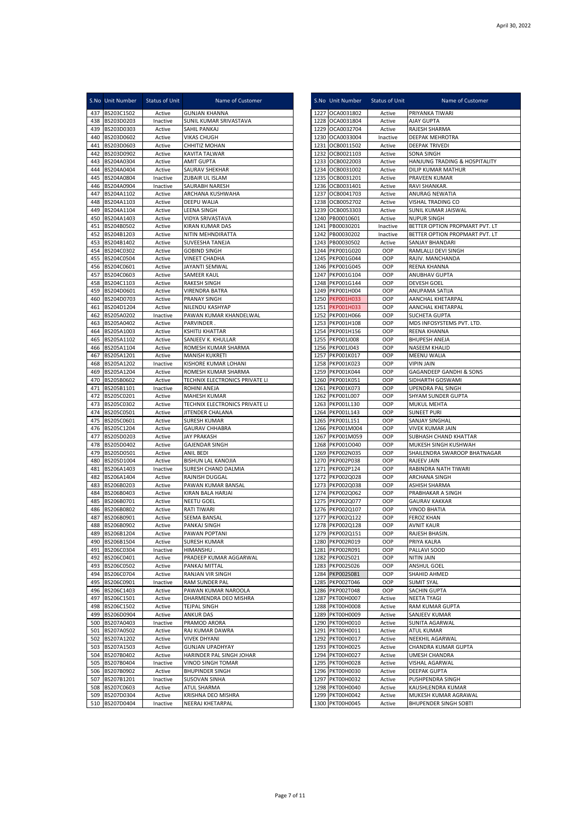|            | S.No Unit Number         | <b>Status of Unit</b> | Name of Customer                                      | S.No Unit Number                   | Status of Unit     | Name of Customer                          |
|------------|--------------------------|-----------------------|-------------------------------------------------------|------------------------------------|--------------------|-------------------------------------------|
| 437        | BS203C1502               | Active                | <b>GUNJAN KHANNA</b>                                  | 1227 OCA0031802                    | Active             | PRIYANKA TIWARI                           |
|            | 438 BS203D0203           | Inactive              | SUNIL KUMAR SRIVASTAVA                                | 1228 OCA0031804                    | Active             | <b>AJAY GUPTA</b>                         |
| 439        | BS203D0303               | Active                | SAHIL PANKAJ                                          | 1229 OCA0032704                    | Active             | RAJESH SHARMA                             |
| 440<br>441 | BS203D0602<br>BS203D0603 | Active<br>Active      | <b>VIKAS CHUGH</b><br>CHHITIZ MOHAN                   | 1230 OCA0033004<br>1231 OCB0011502 | Inactive<br>Active | DEEPAK MEHROTRA<br><b>DEEPAK TRIVEDI</b>  |
| 442        | BS203D0902               | Active                | KAVITA TALWAR                                         | 1232 OCB0021103                    | Active             | <b>SONA SINGH</b>                         |
| 443        | BS204A0304               | Active                | <b>AMIT GUPTA</b>                                     | 1233 OCB0022003                    | Active             | HANJUNG TRADING & HOSPITALITY             |
| 444        | BS204A0404               | Active                | SAURAV SHEKHAR                                        | 1234 OCB0031002                    | Active             | DILIP KUMAR MATHUR                        |
| 445        | BS204A0804               | Inactive              | ZUBAIR UL ISLAM                                       | 1235 OCB0031201                    | Active             | PRAVEEN KUMAR                             |
| 446        | BS204A0904               | Inactive              | SAURABH NARESH                                        | 1236 OCB0031401                    | Active             | RAVI SHANKAR                              |
| 447        | BS204A1102               | Active                | ARCHANA KUSHWAHA                                      | 1237 OCB0041703                    | Active             | ANURAG NEWATIA                            |
| 448        | BS204A1103               | Active                | DEEPU WALIA                                           | 1238 OCB0052702                    | Active             | VISHAL TRADING CO                         |
| 449<br>450 | BS204A1104<br>BS204A1403 | Active<br>Active      | <b>LEENA SINGH</b><br>VIDYA SRIVASTAVA                | 1239 OCB0053303<br>1240 PB00010601 | Active<br>Active   | SUNIL KUMAR JAISWAL<br><b>NUPUR SINGH</b> |
| 451        | BS204B0502               | Active                | <b>KIRAN KUMAR DAS</b>                                | 1241 PB00030201                    | Inactive           | BETTER OPTION PROPMART PVT. LT            |
| 452        | BS204B1203               | Active                | NITIN MEHNDIRATTA                                     | 1242 PB00030202                    | Inactive           | BETTER OPTION PROPMART PVT. LT            |
| 453        | BS204B1402               | Active                | SUVEESHA TANEJA                                       | 1243 PB00030502                    | Active             | SANJAY BHANDARI                           |
| 454        | BS204C0302               | Active                | <b>GOBIND SINGH</b>                                   | 1244 PKP001G020                    | OOP                | RAMLALLI DEVI SINGH                       |
| 455        | BS204C0504               | Active                | <b>VINEET CHADHA</b>                                  | 1245 PKP001G044                    | OOP                | RAJIV. MANCHANDA                          |
| 456        | BS204C0601               | Active                | JAYANTI SEMWAL                                        | 1246 PKP001G045                    | OOP                | REENA KHANNA                              |
| 457        | BS204C0603               | Active                | SAMEER KAUL                                           | 1247 PKP001G104                    | OOP                | ANUBHAV GUPTA                             |
| 458        | BS204C1103               | Active                | <b>RAKESH SINGH</b><br><b>VIRENDRA BATRA</b>          | 1248 PKP001G144<br>1249 PKP001H004 | OOP                | DEVESH GOEL<br>ANUPAMA SATIJA             |
| 459<br>460 | BS204D0601<br>BS204D0703 | Active<br>Active      | PRANAY SINGH                                          | 1250 PKP001H033                    | OOP<br>OOP         | AANCHAL KHETARPAL                         |
| 461        | BS204D1204               | Active                | NILENDU KASHYAP                                       | 1251 PKP001H033                    | OOP                | AANCHAL KHETARPAL                         |
| 462        | BS205A0202               | Inactive              | PAWAN KUMAR KHANDELWAL                                | 1252 PKP001H066                    | OOP                | <b>SUCHETA GUPTA</b>                      |
| 463        | BS205A0402               | Active                | PARVINDER.                                            | 1253 PKP001H108                    | OOP                | MDS INFOSYSTEMS PVT. LTD.                 |
| 464        | BS205A1003               | Active                | <b>KSHITIJ KHATTAR</b>                                | 1254 PKP001H156                    | OOP                | REENA KHANNA                              |
| 465        | BS205A1102               | Active                | SANJEEV K. KHULLAR                                    | 1255 PKP001J008                    | OOP                | <b>BHUPESH ANEJA</b>                      |
| 466        | BS205A1104               | Active                | ROMESH KUMAR SHARMA                                   | 1256 PKP001J043                    | OOP                | NASEEM KHALID                             |
| 467        | BS205A1201               | Active                | <b>MANISH KUKRETI</b>                                 | 1257 PKP001K017                    | OOP                | MEENU WALIA                               |
| 468        | BS205A1202               | Inactive              | KISHORE KUMAR LOHANI                                  | 1258 PKP001K023                    | OOP                | <b>VIPIN JAIN</b>                         |
| 469        | BS205A1204               | Active                | ROMESH KUMAR SHARMA                                   | 1259 PKP001K044                    | OOP                | GAGANDEEP GANDHI & SONS                   |
| 470        | BS205B0602               | Active                | TECHNIX ELECTRONICS PRIVATE LI                        | 1260 PKP001K051                    | OOP                | SIDHARTH GOSWAMI                          |
| 471        | BS205B1101               | Inactive              | ROHINI ANEJA                                          | 1261 PKP001K073                    | OOP                | UPENDRA PAL SINGH                         |
| 472<br>473 | BS205C0201<br>BS205C0302 | Active<br>Active      | <b>MAHESH KUMAR</b><br>TECHNIX ELECTRONICS PRIVATE LI | 1262 PKP001L007<br>1263 PKP001L130 | OOP<br>OOP         | SHYAM SUNDER GUPTA<br>MUKUL MEHTA         |
| 474        | BS205C0501               | Active                | JITENDER CHALANA                                      | 1264 PKP001L143                    | OOP                | <b>SUNEET PURI</b>                        |
| 475        | BS205C0601               | Active                | SURESH KUMAR                                          | 1265 PKP001L151                    | OOP                | SANJAY SINGHAL                            |
| 476        | BS205C1204               | Active                | <b>GAURAV CHHABRA</b>                                 | 1266 PKP001M004                    | OOP                | <b>VIVEK KUMAR JAIN</b>                   |
| 477        | BS205D0203               | Active                | <b>JAY PRAKASH</b>                                    | 1267 PKP001M059                    | OOP                | SUBHASH CHAND KHATTAR                     |
| 478        | BS205D0402               | Active                | <b>GAJENDAR SINGH</b>                                 | 1268 PKP0010040                    | OOP                | MUKESH SINGH KUSHWAH                      |
| 479        | BS205D0501               | Active                | ANIL BEDI                                             | 1269 PKP002N035                    | OOP                | SHAILENDRA SWAROOP BHATNAGAR              |
| 480        | BS205D1004               | Active                | <b>BISHUN LAL KANOJIA</b>                             | 1270 PKP002P038                    | OOP                | RAJEEV JAIN                               |
| 481        | BS206A1403               | Inactive              | SURESH CHAND DALMIA                                   | 1271 PKP002P124                    | OOP                | RABINDRA NATH TIWARI                      |
| 482        | BS206A1404               | Active                | <b>RAJNISH DUGGAL</b>                                 | 1272 PKP002Q028                    | OOP                | ARCHANA SINGH                             |
| 483        | BS206B0203               | Active                | PAWAN KUMAR BANSAL                                    | 1273 PKP002Q038                    | OOP                | ASHISH SHARMA                             |
| 484<br>485 | BS206B0403<br>BS206B0701 | Active<br>Active      | KIRAN BALA HARJAI<br><b>NEETU GOEL</b>                | 1274 PKP002Q062<br>1275 PKP002Q077 | OOP<br>OOP         | PRABHAKAR A SINGH<br><b>GAURAV KAKKAR</b> |
| 486        | BS206B0802               | Active                | <b>RATI TIWARI</b>                                    | 1276 PKP002Q107                    | OOP                | <b>VINOD BHATIA</b>                       |
| 487        | BS206B0901               | Active                | SEEMA BANSAL                                          | 1277 PKP002Q122                    | OOP                | <b>FEROZ KHAN</b>                         |
| 488        | BS206B0902               | Active                | PANKAJ SINGH                                          | 1278 PKP002Q128                    | OOP                | <b>AVNIT KAUR</b>                         |
|            | 489 BS206B1204           | Active                | PAWAN POPTANI                                         | 1279 PKP002Q151                    | OOP                | RAJESH BHASIN.                            |
| 490        | BS206B1504               | Active                | <b>SURESH KUMAR</b>                                   | 1280 PKP002R019                    | OOP                | PRIYA KALRA                               |
|            | 491 BS206C0304           | Inactive              | HIMANSHU                                              | 1281 PKP002R091                    | OOP                | PALLAVI SOOD                              |
| 492        | BS206C0401               | Active                | PRADEEP KUMAR AGGARWAL                                | 1282 PKP002S021                    | OOP                | <b>NITIN JAIN</b>                         |
| 493        | BS206C0502               | Active                | PANKAJ MITTAL                                         | 1283 PKP002S026                    | OOP                | ANSHUL GOEL                               |
| 494        | BS206C0704               | Active                | RANJAN VIR SINGH                                      | 1284 PKP002S081                    | OOP                | SHAHID AHMED<br><b>SUMIT SYAL</b>         |
| 495        | BS206C0901               | Inactive              | RAM SUNDER PAL                                        | 1285 PKP002T046<br>1286 PKP002T048 | OOP<br>OOP         |                                           |
| 496<br>497 | BS206C1403<br>BS206C1501 | Active<br>Active      | PAWAN KUMAR NAROOLA<br>DHARMENDRA DEO MISHRA          | 1287 PKT00H0007                    | Active             | SACHIN GUPTA<br>NEETA TYAGI               |
| 498        | BS206C1502               | Active                | <b>TEJPAL SINGH</b>                                   | 1288 PKT00H0008                    | Active             | RAM KUMAR GUPTA                           |
| 499        | BS206D0904               | Active                | <b>ANKUR DAS</b>                                      | 1289 PKT00H0009                    | Active             | SANJEEV KUMAR                             |
| 500        | BS207A0403               | Inactive              | PRAMOD ARORA                                          | 1290 PKT00H0010                    | Active             | SUNITA AGARWAL                            |
| 501        | BS207A0502               | Active                | RAJ KUMAR DAWRA                                       | 1291 PKT00H0011                    | Active             | <b>ATUL KUMAR</b>                         |
| 502        | BS207A1202               | Active                | <b>VIVEK DHYANI</b>                                   | 1292 PKT00H0017                    | Active             | NEEKHIL AGARWAL                           |
| 503        | BS207A1503               | Active                | GUNJAN UPADHYAY                                       | 1293 PKT00H0025                    | Active             | CHANDRA KUMAR GUPTA                       |
| 504        | BS207B0402               | Active                | HARINDER PAL SINGH JOHAR                              | 1294 PKT00H0027                    | Active             | UMESH CHANDRA                             |
| 505        | BS207B0404               | Inactive              | VINOD SINGH TOMAR                                     | 1295 PKT00H0028                    | Active             | VISHAL AGARWAL                            |
|            | 506 BS207B0902           | Active                | <b>BHUPINDER SINGH</b>                                | 1296 PKT00H0030                    | Active             | DEEPAK GUPTA                              |
| 507<br>508 | BS207B1201<br>BS207C0603 | Inactive<br>Active    | SUSOVAN SINHA<br>ATUL SHARMA                          | 1297 PKT00H0032<br>1298 PKT00H0040 | Active<br>Active   | PUSHPENDRA SINGH<br>KAUSHLENDRA KUMAR     |
| 509        | BS207D0304               | Active                | KRISHNA DEO MISHRA                                    | 1299 PKT00H0042                    | Active             | MUKESH KUMAR AGRAWAL                      |
|            | 510 BS207D0404           | Inactive              | NEERAJ KHETARPAL                                      | 1300 PKT00H0045                    | Active             | BHUPENDER SINGH SOBTI                     |
|            |                          |                       |                                                       |                                    |                    |                                           |

|      | S.No Unit Number                   | <b>Status of Unit</b> | Name of Customer                                 |  |
|------|------------------------------------|-----------------------|--------------------------------------------------|--|
|      | 1227 OCA0031802                    | Active                | PRIYANKA TIWARI                                  |  |
|      | 1228 OCA0031804                    | Active                | AJAY GUPTA                                       |  |
|      | 1229 OCA0032704                    | Active                | RAJESH SHARMA                                    |  |
| 1231 | 1230 OCA0033004<br>OCB0011502      | Inactive<br>Active    | DEEPAK MEHROTRA<br><b>DEEPAK TRIVEDI</b>         |  |
| 1232 | OCB0021103                         | Active                | SONA SINGH                                       |  |
|      | 1233 OCB0022003                    | Active                | HANJUNG TRADING & HOSPITALITY                    |  |
| 1234 | OCB0031002                         | Active                | DILIP KUMAR MATHUR                               |  |
| 1235 | OCB0031201                         | Active                | PRAVEEN KUMAR                                    |  |
|      | 1236 OCB0031401                    | Active                | RAVI SHANKAR.                                    |  |
| 1237 | OCB0041703                         | Active                | ANURAG NEWATIA                                   |  |
| 1239 | 1238 OCB0052702<br>OCB0053303      | Active<br>Active      | VISHAL TRADING CO<br>SUNIL KUMAR JAISWAL         |  |
| 1240 | PB00010601                         | Active                | <b>NUPUR SINGH</b>                               |  |
|      | 1241 PB00030201                    | Inactive              | BETTER OPTION PROPMART PVT. LT                   |  |
| 1242 | PB00030202                         | Inactive              | BETTER OPTION PROPMART PVT. LT                   |  |
|      | 1243 PB00030502                    | Active                | SANJAY BHANDARI                                  |  |
|      | 1244 PKP001G020                    | OOP                   | RAMLALLI DEVI SINGH                              |  |
|      | 1245 PKP001G044<br>1246 PKP001G045 | OOP<br>OOP            | RAJIV. MANCHANDA<br>REENA KHANNA                 |  |
|      | 1247 PKP001G104                    | OOP                   | ANUBHAV GUPTA                                    |  |
|      | 1248 PKP001G144                    | OOP                   | DEVESH GOEL                                      |  |
|      | 1249 PKP001H004                    | OOP                   | ANUPAMA SATIJA                                   |  |
|      | 1250 PKP001H033                    | OOP                   | AANCHAL KHETARPAL                                |  |
|      | 1251 PKP001H033                    | OOP                   | AANCHAL KHETARPAL                                |  |
|      | 1252 PKP001H066<br>1253 PKP001H108 | OOP<br>OOP            | SUCHETA GUPTA<br>MDS INFOSYSTEMS PVT. LTD.       |  |
|      | 1254 PKP001H156                    | OOP                   | REENA KHANNA                                     |  |
|      | 1255 PKP001J008                    | OOP                   | <b>BHUPESH ANEJA</b>                             |  |
|      | 1256 PKP001J043                    | OOP                   | NASEEM KHALID                                    |  |
|      | 1257 PKP001K017                    | OOP                   | MEENU WALIA                                      |  |
|      | 1258 PKP001K023                    | OOP                   | VIPIN JAIN<br><b>GAGANDEEP GANDHI &amp; SONS</b> |  |
|      | 1259 PKP001K044<br>1260 PKP001K051 | OOP<br>OOP            | SIDHARTH GOSWAMI                                 |  |
|      | 1261 PKP001K073                    | OOP                   | <b>UPENDRA PAL SINGH</b>                         |  |
|      | 1262 PKP001L007                    | OOP                   | SHYAM SUNDER GUPTA                               |  |
|      | 1263 PKP001L130                    | OOP                   | MUKUL MEHTA                                      |  |
|      | 1264 PKP001L143                    | OOP                   | SUNEET PURI                                      |  |
|      | 1265 PKP001L151                    | OOP                   | SANJAY SINGHAL                                   |  |
|      | 1266 PKP001M004<br>1267 PKP001M059 | OOP<br>OOP            | VIVEK KUMAR JAIN<br>SUBHASH CHAND KHATTAR        |  |
| 1268 | PKP001O040                         | OOP                   | MUKESH SINGH KUSHWAH                             |  |
|      | 1269 PKP002N035                    | OOP                   | SHAILENDRA SWAROOP BHATNAGAR                     |  |
|      | 1270 PKP002P038                    | OOP                   | RAJEEV JAIN                                      |  |
|      | 1271 PKP002P124                    | OOP                   | RABINDRA NATH TIWARI                             |  |
|      | 1272 PKP002Q028                    | OOP                   | ARCHANA SINGH                                    |  |
|      | 1273 PKP002Q038<br>1274 PKP002Q062 | OOP<br>OOP            | ASHISH SHARMA<br>PRABHAKAR A SINGH               |  |
|      | 1275 PKP002Q077                    | OOP                   | <b>GAURAV KAKKAR</b>                             |  |
|      | 1276 PKP002Q107                    | OOP                   | <b>VINOD BHATIA</b>                              |  |
| 1277 | PKP002Q122                         | OOP                   | <b>FEROZ KHAN</b>                                |  |
|      | 1278 PKP002Q128                    | OOP                   | <b>AVNIT KAUR</b>                                |  |
|      | 1279 PKP002Q151<br>1280 PKP002R019 | OOP<br>OOP            | RAJESH BHASIN.<br>PRIYA KALRA                    |  |
|      | 1281 PKP002R091                    | OOP                   | PALLAVI SOOD                                     |  |
|      | 1282 PKP002S021                    | OOP                   | NITIN JAIN                                       |  |
|      | 1283 PKP002S026                    | OOP                   | ANSHUL GOEL                                      |  |
|      | 1284 PKP002S081                    | OOP                   | SHAHID AHMED                                     |  |
|      | 1285 PKP002T046<br>1286 PKP002T048 | OOP<br>OOP            | <b>SUMIT SYAL</b><br>SACHIN GUPTA                |  |
|      | 1287 PKT00H0007                    | Active                | NEETA TYAGI                                      |  |
|      | 1288 PKT00H0008                    | Active                | RAM KUMAR GUPTA                                  |  |
|      | 1289 PKT00H0009                    | Active                | SANJEEV KUMAR                                    |  |
|      | 1290 PKT00H0010                    | Active                | SUNITA AGARWAL                                   |  |
|      | 1291 PKT00H0011                    | Active                | ATUL KUMAR                                       |  |
|      | 1292 PKT00H0017                    | Active                | NEEKHIL AGARWAL                                  |  |
|      | 1293 PKT00H0025<br>1294 PKT00H0027 | Active<br>Active      | CHANDRA KUMAR GUPTA<br>UMESH CHANDRA             |  |
|      | 1295 PKT00H0028                    | Active                | VISHAL AGARWAL                                   |  |
|      | 1296 PKT00H0030                    | Active                | DEEPAK GUPTA                                     |  |
|      | 1297 PKT00H0032                    | Active                | PUSHPENDRA SINGH                                 |  |
|      | 1298 PKT00H0040                    | Active                | KAUSHLENDRA KUMAR                                |  |
|      | 1299 PKT00H0042                    | Active                | MUKESH KUMAR AGRAWAL                             |  |
|      | 1300 PKT00H0045                    | Active                | BHUPENDER SINGH SOBTI                            |  |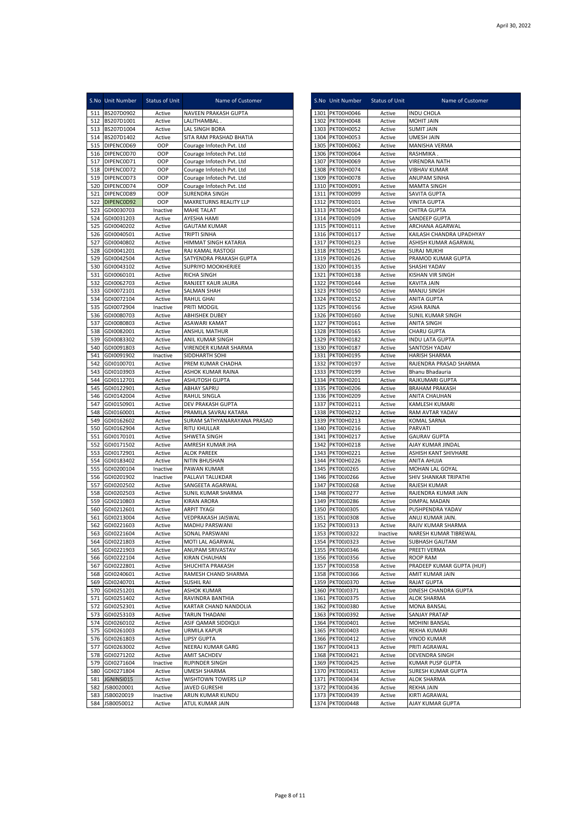|            | S.No Unit Number                 | <b>Status of Unit</b> | Name of Customer                                       | S.No Unit Number                   | <b>Status of Unit</b> | Name of Customer                         |
|------------|----------------------------------|-----------------------|--------------------------------------------------------|------------------------------------|-----------------------|------------------------------------------|
|            | 511 BS207D0902                   | Active                | NAVEEN PRAKASH GUPTA                                   | 1301 PKT00H0046                    | Active                | <b>INDU CHOLA</b>                        |
|            | 512 BS207D1001                   | Active                | LALITHAMBAL.                                           | 1302 PKT00H0048                    | Active                | MOHIT JAIN                               |
|            | 513 BS207D1004                   | Active                | LAL SINGH BORA                                         | 1303 PKT00H0052                    | Active                | SUMIT JAIN                               |
|            | 514 BS207D1402<br>515 DIPENCOD69 | Active<br>OOP         | SITA RAM PRASHAD BHATIA                                | 1304 PKT00H0053                    | Active                | <b>UMESH JAIN</b><br>MANISHA VERMA       |
|            | 516 DIPENCOD70                   | OOP                   | Courage Infotech Pvt. Ltd<br>Courage Infotech Pvt. Ltd | 1305 PKT00H0062<br>1306 PKT00H0064 | Active<br>Active      | RASHMIKA.                                |
| 517        | DIPENCOD71                       | OOP                   | Courage Infotech Pvt. Ltd                              | 1307 PKT00H0069                    | Active                | VIRENDRA NATH                            |
|            | 518 DIPENCOD72                   | OOP                   | Courage Infotech Pvt. Ltd                              | 1308 PKT00H0074                    | Active                | <b>VIBHAV KUMAR</b>                      |
|            | 519 DIPENCOD73                   | OOP                   | Courage Infotech Pvt. Ltd                              | 1309 PKT00H0078                    | Active                | ANUPAM SINHA                             |
|            | 520 DIPENCOD74                   | OOP                   | Courage Infotech Pvt. Ltd                              | 1310 PKT00H0091                    | Active                | <b>MAMTA SINGH</b>                       |
|            | 521 DIPENCOD89                   | OOP                   | SURENDRA SINGH                                         | 1311 PKT00H0099                    | Active                | SAVITA GUPTA                             |
|            | 522 DIPENCOD92                   | OOP                   | MAXRETURNS REALITY LLP                                 | 1312 PKT00H0101                    | Active                | <b>VINITA GUPTA</b>                      |
|            | 523 GDI0030703<br>524 GDI0031203 | Inactive              | MAHE TALAT                                             | 1313 PKT00H0104                    | Active                | CHITRA GUPTA<br><b>SANDEEP GUPTA</b>     |
|            | 525 GDI0040202                   | Active<br>Active      | AYESHA HAMI<br><b>GAUTAM KUMAR</b>                     | 1314 PKT00H0109<br>1315 PKT00H0111 | Active<br>Active      | ARCHANA AGARWAL                          |
|            | 526 GDI0040501                   | Active                | <b>TRIPTI SINHA</b>                                    | 1316 PKT00H0117                    | Active                | KAILASH CHANDRA UPADHYAY                 |
| 527        | GDI0040802                       | Active                | HIMMAT SINGH KATARIA                                   | 1317 PKT00H0123                    | Active                | ASHISH KUMAR AGARWAL                     |
|            | 528 GDI0041201                   | Active                | RAJ KAMAL RASTOGI                                      | 1318 PKT00H0125                    | Active                | <b>SURAJ MUKHI</b>                       |
|            | 529 GDI0042504                   | Active                | SATYENDRA PRAKASH GUPTA                                | 1319 PKT00H0126                    | Active                | PRAMOD KUMAR GUPTA                       |
| 530        | GDI0043102                       | Active                | SUPRIYO MOOKHERJEE                                     | 1320 PKT00H0135                    | Active                | SHASHI YADAV                             |
|            | 531 GDI0060101                   | Active                | <b>RICHA SINGH</b>                                     | 1321 PKT00H0138                    | Active                | KISHAN VIR SINGH                         |
|            | 532 GDI0062703                   | Active                | RANJEET KAUR JAURA                                     | 1322 PKT00H0144                    | Active                | KAVITA JAIN                              |
| 533        | GDI0072101                       | Active                | SALMAN SHAH<br><b>RAHUL GHAI</b>                       | 1323 PKT00H0150                    | Active                | MANJU SINGH                              |
| 534<br>535 | GDI0072104<br>GDI0072904         | Active<br>Inactive    | PRITI MODGIL                                           | 1324 PKT00H0152<br>1325 PKT00H0156 | Active<br>Active      | ANITA GUPTA<br>ASHA RAINA                |
| 536        | GDI0080703                       | Active                | <b>ABHISHEK DUBEY</b>                                  | 1326 PKT00H0160                    | Active                | SUNIL KUMAR SINGH                        |
| 537        | GDI0080803                       | Active                | ASAWARI KAMAT                                          | 1327 PKT00H0161                    | Active                | <b>ANITA SINGH</b>                       |
| 538        | GDI0082001                       | Active                | <b>ANSHUL MATHUR</b>                                   | 1328 PKT00H0165                    | Active                | <b>CHARU GUPTA</b>                       |
| 539        | GDI0083302                       | Active                | ANIL KUMAR SINGH                                       | 1329 PKT00H0182                    | Active                | <b>INDU LATA GUPTA</b>                   |
| 540        | GDI0091803                       | Active                | VIRENDER KUMAR SHARMA                                  | 1330 PKT00H0187                    | Active                | SANTOSH YADAV                            |
| 541        | GDI0091902                       | Inactive              | SIDDHARTH SOHI                                         | 1331 PKT00H0195                    | Active                | HARISH SHARMA                            |
| 542        | GDI0100701                       | Active                | PREM KUMAR CHADHA                                      | 1332 PKT00H0197                    | Active                | RAJENDRA PRASAD SHARMA                   |
| 543        | GDI0103903                       | Active                | ASHOK KUMAR RAINA                                      | 1333 PKT00H0199                    | Active                | Bhanu Bhadauria                          |
| 544        | GDI0112701                       | Active                | <b>ASHUTOSH GUPTA</b>                                  | 1334 PKT00H0201                    | Active                | RAJKUMARI GUPTA                          |
|            | 545 GDI0122901<br>546 GDI0142004 | Active<br>Active      | <b>ABHAY SAPRU</b><br>RAHUL SINGLA                     | 1335 PKT00H0206<br>1336 PKT00H0209 | Active<br>Active      | <b>BRAHAM PRAKASH</b><br>ANITA CHAUHAN   |
| 547        | GDI0150901                       | Active                | DEV PRAKASH GUPTA                                      | 1337 PKT00H0211                    | Active                | KAMLESH KUMARI                           |
| 548        | GDI0160001                       | Active                | PRAMILA SAVRAJ KATARA                                  | 1338 PKT00H0212                    | Active                | RAM AVTAR YADAV                          |
| 549        | GDI0162602                       | Active                | SURAM SATHYANARAYANA PRASAD                            | 1339 PKT00H0213                    | Active                | KOMAL SARNA                              |
|            | 550 GDI0162904                   | Active                | <b>RITU KHULLAR</b>                                    | 1340 PKT00H0216                    | Active                | PARVATI                                  |
| 551        | GDI0170101                       | Active                | SHWETA SINGH                                           | 1341 PKT00H0217                    | Active                | <b>GAURAV GUPTA</b>                      |
| 552        | GDI0171502                       | Active                | AMRESH KUMAR JHA                                       | 1342 PKT00H0218                    | Active                | AJAY KUMAR JINDAL                        |
|            | 553 GDI0172901                   | Active                | <b>ALOK PAREEK</b>                                     | 1343 PKT00H0221                    | Active                | ASHISH KANT SHIVHARE                     |
|            | 554 GDI0183402                   | Active                | <b>NITIN BHUSHAN</b>                                   | 1344 PKT00H0226                    | Active                | ANITA AHUJA                              |
| 555<br>556 | GDI0200104<br>GDI0201902         | Inactive<br>Inactive  | PAWAN KUMAR<br>PALLAVI TALUKDAR                        | 1345 PKT00J0265<br>1346 PKT00J0266 | Active<br>Active      | MOHAN LAL GOYAL<br>SHIV SHANKAR TRIPATHI |
| 557        | GDI0202502                       | Active                | SANGEETA AGARWAL                                       | 1347 PKT00J0268                    | Active                | RAJESH KUMAR                             |
| 558        | GDI0202503                       | Active                | SUNIL KUMAR SHARMA                                     | 1348 PKT00J0277                    | Active                | RAJENDRA KUMAR JAIN                      |
| 559        | GDI0210803                       | Active                | <b>KIRAN ARORA</b>                                     | 1349 PKT00J0286                    | Active                | DIMPAL MADAN                             |
| 560        | GDI0212601                       | Active                | <b>ARPIT TYAGI</b>                                     | 1350 PKT00J0305                    | Active                | PUSHPENDRA YADAV                         |
|            | 561 GDI0213004                   | Active                | VEDPRAKASH JAISWAL                                     | 1351 PKT00J0308                    | Active                | ANUJ KUMAR JAIN.                         |
|            | 562 GDI0221603                   | Active                | <b>MADHU PARSWANI</b>                                  | 1352 PKT00J0313                    | Active                | RAJIV KUMAR SHARMA                       |
| 563        | GDI0221604                       | Active                | SONAL PARSWANI                                         | 1353 PKT00J0322                    | Inactive              | NARESH KUMAR TIBREWAL                    |
| 565        | 564 GDI0221803<br>GDI0221903     | Active                | MOTI LAL AGARWAL<br>ANUPAM SRIVASTAV                   | 1354 PKT00J0323                    | Active                | SUBHASH GAUTAM<br>PREETI VERMA           |
|            | 566 GDI0222104                   | Active<br>Active      | <b>KIRAN CHAUHAN</b>                                   | 1355 PKT00J0346<br>1356 PKT00J0356 | Active<br>Active      | ROOP RAM                                 |
| 567        | GDI0222801                       | Active                | SHUCHITA PRAKASH                                       | 1357 PKT00J0358                    | Active                | PRADEEP KUMAR GUPTA (HUF)                |
| 568        | GDI0240601                       | Active                | RAMESH CHAND SHARMA                                    | 1358 PKT00J0366                    | Active                | AMIT KUMAR JAIN                          |
|            | 569 GDI0240701                   | Active                | <b>SUSHIL RAI</b>                                      | 1359 PKT00J0370                    | Active                | RAJAT GUPTA                              |
|            | 570 GDI0251201                   | Active                | <b>ASHOK KUMAR</b>                                     | 1360 PKT00J0371                    | Active                | DINESH CHANDRA GUPTA                     |
|            | 571 GDI0251402                   | Active                | RAVINDRA BANTHIA                                       | 1361 PKT00J0375                    | Active                | <b>ALOK SHARMA</b>                       |
| 572        | GDI0252301                       | Active                | KARTAR CHAND NANDOLIA                                  | 1362 PKT00J0380                    | Active                | MONA BANSAL                              |
|            | 573 GDI0253103                   | Active                | TARUN THADANI                                          | 1363 PKT00J0392                    | Active                | SANJAY PRATAP                            |
|            | 574 GDI0260102                   | Active                | ASIF QAMAR SIDDIQUI                                    | 1364 PKT00J0401                    | Active                | MOHINI BANSAL                            |
|            | 575 GDI0261003                   | Active                | URMILA KAPUR                                           | 1365 PKT00J0403                    | Active                | REKHA KUMARI                             |
| 577        | 576 GDI0261803<br>GDI0263002     | Active<br>Active      | <b>LIPSY GUPTA</b><br>NEERAJ KUMAR GARG                | 1366 PKT00J0412<br>1367 PKT00J0413 | Active                | VINOD KUMAR<br>PRITI AGRAWAL             |
| 578        | GDI0271202                       | Active                | AMIT SACHDEV                                           | 1368 PKT00J0421                    | Active<br>Active      | DEVENDRA SINGH                           |
|            | 579 GDI0271604                   | Inactive              | <b>RUPINDER SINGH</b>                                  | 1369 PKT00J0425                    | Active                | KUMAR PUSP GUPTA                         |
| 580        | GDI0271804                       | Active                | UMESH SHARMA                                           | 1370 PKT00J0431                    | Active                | SURESH KUMAR GUPTA                       |
| 581        | JGNINSI015                       | Active                | WISHTOWN TOWERS LLP                                    | 1371 PKT00J0434                    | Active                | <b>ALOK SHARMA</b>                       |
| 582        | JSB0020001                       | Active                | JAVED GURESHI                                          | 1372 PKT00J0436                    | Active                | REKHA JAIN                               |
| 583        | JSB0020019                       | Inactive              | ARUN KUMAR KUNDU                                       | 1373 PKT00J0439                    | Active                | KIRTI AGRAWAL                            |
| 584        | JSB0050012                       | Active                | ATUL KUMAR JAIN                                        | 1374 PKT00J0448                    | Active                | AJAY KUMAR GUPTA                         |

|              | S.No Unit Number                   | <b>Status of Unit</b> | Name of Customer                                 |
|--------------|------------------------------------|-----------------------|--------------------------------------------------|
|              | 1301 PKT00H0046                    | Active                | INDU CHOLA                                       |
|              | 1302 PKT00H0048                    | Active                | <b>MOHIT JAIN</b>                                |
|              | 1303 PKT00H0052                    | Active                | SUMIT JAIN                                       |
| 1305         | 1304 PKT00H0053<br>PKT00H0062      | Active<br>Active      | UMESH JAIN<br>MANISHA VERMA                      |
|              | 1306 PKT00H0064                    | Active                | RASHMIKA.                                        |
|              | 1307 PKT00H0069                    | Active                | VIRENDRA NATH                                    |
| 1308         | PKT00H0074                         | Active                | VIBHAV KUMAR                                     |
| 1309         | PKT00H0078                         | Active                | ANUPAM SINHA                                     |
|              | 1310 PKT00H0091<br>1311 PKT00H0099 | Active<br>Active      | MAMTA SINGH<br>SAVITA GUPTA                      |
|              | 1312 PKT00H0101                    | Active                | VINITA GUPTA                                     |
|              | 1313 PKT00H0104                    | Active                | CHITRA GUPTA                                     |
|              | 1314 PKT00H0109                    | Active                | SANDEEP GUPTA                                    |
|              | 1315 PKT00H0111                    | Active                | ARCHANA AGARWAL                                  |
| 1317         | 1316 PKT00H0117<br>PKT00H0123      | Active<br>Active      | KAILASH CHANDRA UPADHYAY<br>ASHISH KUMAR AGARWAL |
|              | 1318 PKT00H0125                    | Active                | <b>SURAJ MUKHI</b>                               |
|              | 1319 PKT00H0126                    | Active                | PRAMOD KUMAR GUPTA                               |
|              | 1320 PKT00H0135                    | Active                | SHASHI YADAV                                     |
|              | 1321 PKT00H0138                    | Active                | KISHAN VIR SINGH                                 |
|              | 1322 PKT00H0144                    | Active                | KAVITA JAIN                                      |
|              | 1323 PKT00H0150<br>1324 PKT00H0152 | Active<br>Active      | MANJU SINGH<br>ANITA GUPTA                       |
|              | 1325 PKT00H0156                    | Active                | <b>ASHA RAINA</b>                                |
| 1326         | PKT00H0160                         | Active                | SUNIL KUMAR SINGH                                |
| 1327         | PKT00H0161                         | Active                | ANITA SINGH                                      |
|              | 1328 PKT00H0165                    | Active                | CHARU GUPTA                                      |
| 1329         | PKT00H0182                         | Active                | <b>INDU LATA GUPTA</b>                           |
|              | 1330 PKT00H0187<br>1331 PKT00H0195 | Active<br>Active      | SANTOSH YADAV<br>HARISH SHARMA                   |
|              | 1332 PKT00H0197                    | Active                | RAJENDRA PRASAD SHARMA                           |
|              | 1333 PKT00H0199                    | Active                | Bhanu Bhadauria                                  |
|              | 1334 PKT00H0201                    | Active                | RAJKUMARI GUPTA                                  |
|              | 1335 PKT00H0206                    | Active                | <b>BRAHAM PRAKASH</b>                            |
|              | 1336 PKT00H0209                    | Active                | ANITA CHAUHAN                                    |
| 1337         | PKT00H0211<br>1338 PKT00H0212      | Active<br>Active      | KAMLESH KUMARI<br>RAM AVTAR YADAV                |
|              | 1339 PKT00H0213                    | Active                | KOMAL SARNA                                      |
|              | 1340 PKT00H0216                    | Active                | PARVATI                                          |
|              | 1341 PKT00H0217                    | Active                | <b>GAURAV GUPTA</b>                              |
| 1342         | PKT00H0218                         | Active                | AJAY KUMAR JINDAL                                |
| 1343         | PKT00H0221<br>1344 PKT00H0226      | Active                | ASHISH KANT SHIVHARE<br>ANITA AHUJA              |
|              | 1345 PKT00J0265                    | Active<br>Active      | MOHAN LAL GOYAL                                  |
|              | 1346 PKT00J0266                    | Active                | SHIV SHANKAR TRIPATHI                            |
| 1347         | PKT00J0268                         | Active                | RAJESH KUMAR                                     |
|              | 1348 PKT00J0277                    | Active                | RAJENDRA KUMAR JAIN                              |
|              | 1349 PKT00J0286                    | Active                | DIMPAL MADAN                                     |
| 1350<br>1351 | PKT00J0305<br>PKT00J0308           | Active                | PUSHPENDRA YADAV<br>ANUJ KUMAR JAIN.             |
|              | 1352 PKT00J0313                    | Active<br>Active      | RAJIV KUMAR SHARMA                               |
|              | 1353 PKT00J0322                    | Inactive              | NARESH KUMAR TIBREWAL                            |
|              | 1354 PKT00J0323                    | Active                | SUBHASH GAUTAM                                   |
|              | 1355 PKT00J0346                    | Active                | PREETI VERMA                                     |
|              | 1356 PKT00J0356                    | Active                | ROOP RAM                                         |
|              | 1357 PKT00J0358<br>1358 PKT00J0366 | Active                | PRADEEP KUMAR GUPTA (HUF)<br>AMIT KUMAR JAIN     |
|              | 1359 PKT00J0370                    | Active<br>Active      | RAJAT GUPTA                                      |
|              | 1360 PKT00J0371                    | Active                | DINESH CHANDRA GUPTA                             |
|              | 1361 PKT00J0375                    | Active                | <b>ALOK SHARMA</b>                               |
|              | 1362 PKT00J0380                    | Active                | <b>MONA BANSAL</b>                               |
|              | 1363 PKT00J0392                    | Active                | <b>SANJAY PRATAP</b>                             |
|              | 1364 PKT00J0401<br>1365 PKT00J0403 | Active<br>Active      | MOHINI BANSAL<br><b>REKHA KUMARI</b>             |
|              | 1366 PKT00J0412                    | Active                | <b>VINOD KUMAR</b>                               |
|              | 1367 PKT00J0413                    | Active                | PRITI AGRAWAL                                    |
|              | 1368 PKT00J0421                    | Active                | DEVENDRA SINGH                                   |
|              | 1369 PKT00J0425                    | Active                | KUMAR PUSP GUPTA                                 |
|              | 1370 PKT00J0431                    | Active                | SURESH KUMAR GUPTA                               |
|              | 1371 PKT00J0434<br>1372 PKT00J0436 | Active<br>Active      | ALOK SHARMA<br>REKHA JAIN                        |
|              | 1373 PKT00J0439                    | Active                | KIRTI AGRAWAL                                    |
| 1374         | PKT00J0448                         | Active                | AJAY KUMAR GUPTA                                 |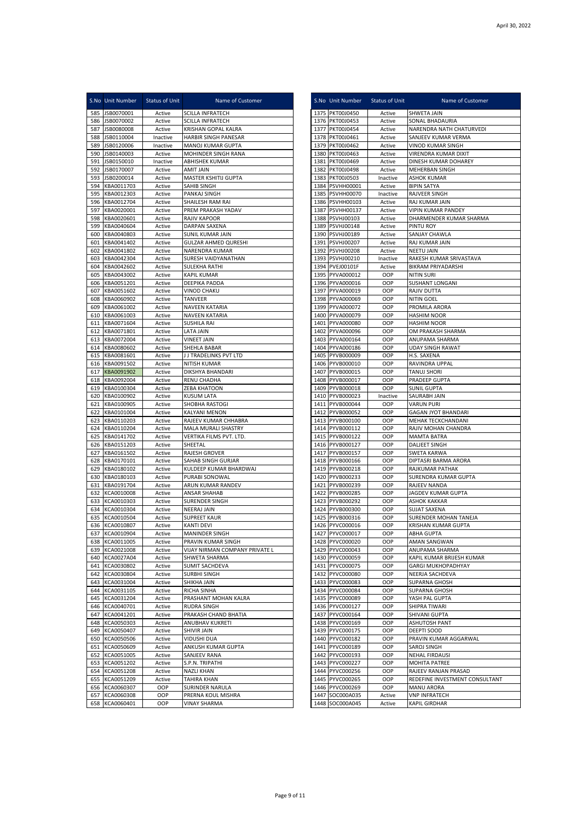|            | S.No Unit Number         | <b>Status of Unit</b> | Name of Customer                               |      | S.No Unit Number                     | Status of Unit     | Name of Customer                                     |
|------------|--------------------------|-----------------------|------------------------------------------------|------|--------------------------------------|--------------------|------------------------------------------------------|
| 585        | JSB0070001               | Active                | <b>SCILLA INFRATECH</b>                        |      | 1375 PKT00J0450                      | Active             | SHWETA JAIN                                          |
| 586        | JSB0070002               | Active                | <b>SCILLA INFRATECH</b>                        |      | 1376 PKT00J0453                      | Active             | SONAL BHADAURIA                                      |
| 587        | JSB0080008               | Active                | KRISHAN GOPAL KALRA                            |      | 1377 PKT00J0454                      | Active             | NARENDRA NATH CHATURVEDI                             |
| 588        | JSB0110004               | Inactive              | HARBIR SINGH PANESAR                           |      | 1378 PKT00J0461                      | Active             | SANJEEV KUMAR VERMA                                  |
| 589        | JSB0120006               | Inactive              | MANOJ KUMAR GUPTA                              |      | 1379 PKT00J0462                      | Active             | VINOD KUMAR SINGH                                    |
| 590        | JSB0140003               | Active                | MOHINDER SINGH RANA                            |      | 1380 PKT00J0463                      | Active             | VIRENDRA KUMAR DIXIT                                 |
| 591        | JSB0150010               | Inactive              | ABHISHEK KUMAR                                 | 1381 | PKT00J0469                           | Active             | DINESH KUMAR DOHAREY                                 |
| 592        | JSB0170007               | Active                | <b>AMIT JAIN</b>                               | 1382 | PKT00J0498                           | Active             | MEHERBAN SINGH                                       |
| 593<br>594 | JSB0200014<br>KBA0011703 | Active<br>Active      | MASTER KSHITIJ GUPTA<br>SAHIB SINGH            |      | 1383 PKT00J0503<br>1384 PSVHH00001   | Inactive<br>Active | ASHOK KUMAR<br><b>BIPIN SATYA</b>                    |
| 595        | KBA0012303               | Active                | PANKAJ SINGH                                   |      | 1385 PSVHH00070                      | Inactive           | RAJVEER SINGH                                        |
| 596        | KBA0012704               | Active                | SHAILESH RAM RAI                               |      | 1386 PSVHH00103                      | Active             | RAJ KUMAR JAIN                                       |
| 597        | KBA0020001               | Active                | PREM PRAKASH YADAV                             |      | 1387 PSVHH00137                      | Active             | VIPIN KUMAR PANDEY                                   |
| 598        | KBA0020601               | Active                | <b>RAJIV KAPOOR</b>                            |      | 1388 PSVHJ00103                      | Active             | DHARMENDER KUMAR SHARMA                              |
| 599        | KBA0040604               | Active                | DARPAN SAXENA                                  |      | 1389 PSVHJ00148                      | Active             | PINTU ROY                                            |
| 600        | KBA0040803               | Active                | <b>SUNIL KUMAR JAIN</b>                        |      | 1390 PSVHJ00189                      | Active             | SANJAY CHAWLA                                        |
| 601        | KBA0041402               | Active                | <b>GULZAR AHMED QURESHI</b>                    | 1391 | <b>PSVHJ00207</b>                    | Active             | RAJ KUMAR JAIN                                       |
| 602        | KBA0041802               | Active                | NARENDRA KUMAR                                 |      | 1392 PSVHJ00208                      | Active             | <b>NEETU JAIN</b>                                    |
| 603<br>604 | KBA0042304<br>KBA0042602 | Active<br>Active      | SURESH VAIDYANATHAN<br><b>SULEKHA RATHI</b>    | 1393 | <b>PSVHJ00210</b><br>1394 PVEJ00101F | Inactive<br>Active | RAKESH KUMAR SRIVASTAVA<br><b>BIKRAM PRIYADARSHI</b> |
| 605        | KBA0043002               | Active                | <b>KAPIL KUMAR</b>                             |      | 1395 PYVA000012                      | OOP                | NITIN SURI                                           |
| 606        | KBA0051201               | Active                | DEEPIKA PADDA                                  |      | 1396 PYVA000016                      | OOP                | SUSHANT LONGANI                                      |
| 607        | KBA0051602               | Active                | <b>VINOD CHAKU</b>                             |      | 1397 PYVA000019                      | OOP                | RAJIV DUTTA                                          |
| 608        | KBA0060902               | Active                | <b>TANVEER</b>                                 |      | 1398 PYVA000069                      | OOP                | NITIN GOEL                                           |
| 609        | KBA0061002               | Active                | NAVEEN KATARIA                                 |      | 1399 PYVA000072                      | OOP                | PROMILA ARORA                                        |
| 610        | KBA0061003               | Active                | <b>NAVEEN KATARIA</b>                          |      | 1400 PYVA000079                      | OOP                | HASHIM NOOR                                          |
| 611        | KBA0071604               | Active                | <b>SUSHILA RAI</b>                             |      | 1401 PYVA000080                      | OOP                | <b>HASHIM NOOR</b>                                   |
| 612        | KBA0071801               | Active                | <b>LATA JAIN</b>                               |      | 1402 PYVA000096                      | OOP                | OM PRAKASH SHARMA                                    |
| 613        | KBA0072004               | Active                | <b>VINEET JAIN</b>                             |      | 1403 PYVA000164                      | OOP                | ANUPAMA SHARMA                                       |
| 614        | KBA0080602               | Active<br>Active      | SHEHLA BABAR                                   |      | 1404 PYVA000186<br>1405 PYVB000009   | OOP<br>OOP         | <b>UDAY SINGH RAWAT</b><br>H.S. SAXENA               |
| 615<br>616 | KBA0081601<br>KBA0091502 | Active                | J J TRADELINKS PVT LTD<br>NITISH KUMAR         |      | 1406 PYVB000010                      | OOP                | RAVINDRA UPPAL                                       |
| 617        | KBA0091902               | Active                | DIKSHYA BHANDARI                               |      | 1407 PYVB000015                      | OOP                | <b>TANUJ SHORI</b>                                   |
| 618        | KBA0092004               | Active                | RENU CHADHA                                    |      | 1408 PYVB000017                      | OOP                | PRADEEP GUPTA                                        |
| 619        | KBA0100304               | Active                | <b>ZEBA KHATOON</b>                            |      | 1409 PYVB000018                      | OOP                | <b>SUNIL GUPTA</b>                                   |
| 620        | KBA0100902               | Active                | <b>KUSUM LATA</b>                              |      | 1410 PYVB000023                      | Inactive           | SAURABH JAIN                                         |
| 621        | KBA0100905               | Active                | SHOBHA RASTOGI                                 |      | 1411 PYVB000044                      | OOP                | <b>VARUN PURI</b>                                    |
| 622        | KBA0101004               | Active                | KALYANI MENON                                  |      | 1412 PYVB000052                      | OOP                | <b>GAGAN JYOT BHANDARI</b>                           |
| 623        | KBA0110203               | Active                | RAJEEV KUMAR CHHABRA                           |      | 1413 PYVB000100                      | OOP                | MEHAK TECKCHANDANI                                   |
| 624<br>625 | KBA0110204<br>KBA0141702 | Active<br>Active      | MALA MURALI SHASTRY<br>VERTIKA FILMS PVT. LTD. |      | 1414 PYVB000112<br>1415 PYVB000122   | OOP<br>OOP         | RAJIV MOHAN CHANDRA<br><b>MAMTA BATRA</b>            |
| 626        | KBA0151203               | Active                | SHEETAL                                        |      | 1416 PYVB000127                      | OOP                | DALJEET SINGH                                        |
| 627        | KBA0161502               | Active                | RAJESH GROVER                                  |      | 1417 PYVB000157                      | OOP                | SWETA KARWA                                          |
| 628        | KBA0170101               | Active                | SAHAB SINGH GURJAR                             |      | 1418 PYVB000166                      | OOP                | DIPTASRI BARMA ARORA                                 |
| 629        | KBA0180102               | Active                | KULDEEP KUMAR BHARDWAJ                         |      | 1419 PYVB000218                      | OOP                | RAJKUMAR PATHAK                                      |
| 630        | KBA0180103               | Active                | PURABI SONOWAL                                 |      | 1420 PYVB000233                      | OOP                | SURENDRA KUMAR GUPTA                                 |
| 631        | KBA0191704               | Active                | ARUN KUMAR RANDEV                              |      | 1421 PYVB000239                      | OOP                | RAJEEV NANDA                                         |
| 632        | KCA0010008               | Active                | <b>ANSAR SHAHAB</b>                            |      | 1422 PYVB000285                      | OOP                | JAGDEV KUMAR GUPTA                                   |
| 633<br>634 | KCA0010303<br>KCA0010304 | Active                | <b>SURENDER SINGH</b><br><b>NEERAJ JAIN</b>    |      | 1423 PYVB000292<br>1424 PYVB000300   | OOP<br>OOP         | <b>ASHOK KAKKAR</b>                                  |
| 635        | KCA0010504               | Active<br>Active      | SUPREET KAUR                                   |      | 1425 PYVB000316                      | OOP                | SUJAT SAXENA<br>SURENDER MOHAN TANEJA                |
|            | 636 KCA0010807           | Active                | <b>KANTI DEVI</b>                              |      | 1426 PYVC000016                      | OOP                | KRISHAN KUMAR GUPTA                                  |
|            | 637 KCA0010904           | Active                | <b>MANINDER SINGH</b>                          |      | 1427 PYVC000017                      | OOP                | ABHA GUPTA                                           |
| 638        | KCA0011005               | Active                | PRAVIN KUMAR SINGH                             |      | 1428 PYVC000020                      | OOP                | AMAN SANGWAN                                         |
|            | 639 KCA0021008           | Active                | VIJAY NIRMAN COMPANY PRIVATE L                 |      | 1429 PYVC000043                      | OOP                | ANUPAMA SHARMA                                       |
|            | 640 KCA0027A04           | Active                | SHWETA SHARMA                                  |      | 1430 PYVC000059                      | OOP                | KAPIL KUMAR BRIJESH KUMAR                            |
| 641        | KCA0030802               | Active                | <b>SUMIT SACHDEVA</b>                          |      | 1431 PYVC000075                      | OOP                | GARGI MUKHOPADHYAY                                   |
| 642        | KCA0030804               | Active                | <b>SURBHI SINGH</b>                            |      | 1432 PYVC000080                      | OOP                | NEERJA SACHDEVA                                      |
| 643<br>644 | KCA0031004<br>KCA0031105 | Active<br>Active      | SHIKHA JAIN<br>RICHA SINHA                     |      | 1433 PYVC000083<br>1434 PYVC000084   | OOP<br>OOP         | <b>SUPARNA GHOSH</b><br>SUPARNA GHOSH                |
| 645        | KCA0031204               | Active                | PRASHANT MOHAN KALRA                           | 1435 | PYVC000089                           | OOP                | YASH PAL GUPTA                                       |
| 646        | KCA0040701               | Active                | <b>RUDRA SINGH</b>                             |      | 1436 PYVC000127                      | OOP                | SHIPRA TIWARI                                        |
| 647        | KCA0041201               | Active                | PRAKASH CHAND BHATIA                           |      | 1437 PYVC000164                      | OOP                | SHIVANI GUPTA                                        |
| 648        | KCA0050303               | Active                | ANUBHAV KUKRETI                                |      | 1438 PYVC000169                      | OOP                | <b>ASHUTOSH PANT</b>                                 |
| 649        | KCA0050407               | Active                | SHIVIR JAIN                                    |      | 1439 PYVC000175                      | OOP                | <b>DEEPTI SOOD</b>                                   |
| 650        | KCA0050506               | Active                | <b>VIDUSHI DUA</b>                             |      | 1440 PYVC000182                      | OOP                | PRAVIN KUMAR AGGARWAL                                |
| 651        | KCA0050609               | Active                | ANKUSH KUMAR GUPTA                             |      | 1441 PYVC000189                      | OOP                | SAROJ SINGH                                          |
| 652        | KCA0051005               | Active                | SANJEEV RANA                                   |      | 1442 PYVC000193                      | OOP                | NEHAL FIRDAUSI                                       |
| 653<br>654 | KCA0051202<br>KCA0051208 | Active<br>Active      | S.P.N. TRIPATHI<br><b>NAZLI KHAN</b>           |      | 1443 PYVC000227<br>1444 PYVC000256   | OOP<br>OOP         | MOHITA PATREE<br>RAJEEV RANJAN PRASAD                |
| 655        | KCA0051209               | Active                | <b>TAHIRA KHAN</b>                             |      | 1445 PYVC000265                      | OOP                | REDEFINE INVESTMENT CONSULTANT                       |
| 656        | KCA0060307               | OOP                   | SURINDER NARULA                                |      | 1446 PYVC000269                      | OOP                | MANU ARORA                                           |
| 657        | KCA0060308               | OOP                   | PRERNA KOUL MISHRA                             | 1447 | SOC000A035                           | Active             | <b>VNP INFRATECH</b>                                 |
| 658        | KCA0060401               | OOP                   | <b>VINAY SHARMA</b>                            | 1448 | SOC000A045                           | Active             | KAPIL GIRDHAR                                        |

|              | S.No Unit Number                       | Status of Unit   | Name of Customer                                 |
|--------------|----------------------------------------|------------------|--------------------------------------------------|
|              | 1375 PKT00J0450                        | Active           | SHWETA JAIN                                      |
|              | 1376 PKT00J0453<br>1377 PKT00J0454     | Active           | SONAL BHADAURIA<br>NARENDRA NATH CHATURVEDI      |
|              | 1378 PKT00J0461                        | Active<br>Active | SANJEEV KUMAR VERMA                              |
|              | 1379 PKT00J0462                        | Active           | VINOD KUMAR SINGH                                |
|              | 1380 PKT00J0463                        | Active           | VIRENDRA KUMAR DIXIT                             |
| 1382         | 1381 PKT00J0469<br>PKT00J0498          | Active<br>Active | DINESH KUMAR DOHAREY<br>MEHERBAN SINGH           |
|              | 1383 PKT00J0503                        | Inactive         | <b>ASHOK KUMAR</b>                               |
|              | 1384 PSVHH00001                        | Active           | <b>BIPIN SATYA</b>                               |
|              | 1385 PSVHH00070                        | Inactive         | RAJVEER SINGH                                    |
| 1386<br>1387 | <b>PSVHH00103</b><br><b>PSVHH00137</b> | Active<br>Active | RAJ KUMAR JAIN<br><b>VIPIN KUMAR PANDEY</b>      |
|              | 1388 PSVHJ00103                        | Active           | DHARMENDER KUMAR SHARMA                          |
|              | 1389 PSVHJ00148                        | Active           | PINTU ROY                                        |
| 1390         | PSVHJ00189                             | Active           | SANJAY CHAWLA                                    |
| 1392         | 1391 PSVHJ00207<br><b>PSVHJ00208</b>   | Active<br>Active | RAJ KUMAR JAIN<br><b>NEETU JAIN</b>              |
|              | 1393 PSVHJ00210                        | Inactive         | RAKESH KUMAR SRIVASTAVA                          |
| 1394         | PVEJ00101F                             | Active           | BIKRAM PRIYADARSHI                               |
| 1395         | PYVA000012                             | OOP              | NITIN SURI                                       |
| 1397         | 1396 PYVA000016                        | OOP<br>OOP       | SUSHANT LONGANI<br>RAJIV DUTTA                   |
|              | PYVA000019<br>1398 PYVA000069          | OOP              | NITIN GOEL                                       |
| 1399         | PYVA000072                             | OOP              | PROMILA ARORA                                    |
|              | 1400 PYVA000079                        | OOP              | <b>HASHIM NOOR</b>                               |
|              | 1401 PYVA000080                        | OOP              | <b>HASHIM NOOR</b>                               |
| 1403         | 1402 PYVA000096<br>PYVA000164          | OOP<br>OOP       | OM PRAKASH SHARMA<br>ANUPAMA SHARMA              |
|              | 1404 PYVA000186                        | OOP              | <b>UDAY SINGH RAWAT</b>                          |
|              | 1405 PYVB000009                        | OOP              | H.S. SAXENA                                      |
|              | 1406 PYVB000010                        | OOP              | RAVINDRA UPPAL                                   |
| 1407         | PYVB000015<br>1408 PYVB000017          | OOP<br>OOP       | TANUJ SHORI<br>PRADEEP GUPTA                     |
|              | 1409 PYVB000018                        | OOP              | <b>SUNIL GUPTA</b>                               |
|              | 1410 PYVB000023                        | Inactive         | SAURABH JAIN                                     |
| 1411         | PYVB000044                             | OOP              | <b>VARUN PURI</b>                                |
| 1412<br>1413 | PYVB000052<br>PYVB000100               | OOP<br>OOP       | <b>GAGAN JYOT BHANDARI</b><br>MEHAK TECKCHANDANI |
|              | 1414 PYVB000112                        | OOP              | RAJIV MOHAN CHANDRA                              |
| 1415         | PYVB000122                             | OOP              | MAMTA BATRA                                      |
| 1416         | PYVB000127                             | OOP              | DALJEET SINGH                                    |
| 1417         | PYVB000157<br>1418 PYVB000166          | OOP<br>OOP       | SWETA KARWA<br>DIPTASRI BARMA ARORA              |
|              | 1419 PYVB000218                        | OOP              | RAJKUMAR PATHAK                                  |
| 1420         | PYVB000233                             | OOP              | SURENDRA KUMAR GUPTA                             |
| 1421         | PYVB000239                             | OOP              | RAJEEV NANDA                                     |
| 1423         | 1422 PYVB000285<br>PYVB000292          | OOP<br>OOP       | JAGDEV KUMAR GUPTA<br>ASHOK KAKKAR               |
| 1424         | PYVB000300                             | OOP              | <b>SUJAT SAXENA</b>                              |
| 1425         | PYVB000316                             | OOP              | SURENDER MOHAN TANEJA                            |
|              | 1426 PYVC000016                        | OOP              | KRISHAN KUMAR GUPTA                              |
|              | 1427 PYVC000017<br>1428 PYVC000020     | OOP<br>OOP       | <b>ABHA GUPTA</b><br>AMAN SANGWAN                |
|              | 1429 PYVC000043                        | OOP              | ANUPAMA SHARMA                                   |
|              | 1430 PYVC000059                        | OOP              | KAPIL KUMAR BRIJESH KUMAR                        |
|              | 1431 PYVC000075                        | OOP              | <b>GARGI MUKHOPADHYAY</b>                        |
| 1432<br>1433 | PYVC000080<br>PYVC000083               | OOP<br>OOP       | NEERJA SACHDEVA<br>SUPARNA GHOSH                 |
| 1434         | PYVC000084                             | OOP              | SUPARNA GHOSH                                    |
| 1435         | PYVC000089                             | OOP              | YASH PAL GUPTA                                   |
| 1436         | PYVC000127                             | OOP              | SHIPRA TIWARI<br>SHIVANI GUPTA                   |
| 1437<br>1438 | PYVC000164<br>PYVC000169               | OOP<br>OOP       | ASHUTOSH PANT                                    |
| 1439         | PYVC000175                             | OOP              | DEEPTI SOOD                                      |
| 1440         | PYVC000182                             | OOP              | PRAVIN KUMAR AGGARWAL                            |
| 1441         | PYVC000189                             | OOP              | SAROJ SINGH                                      |
| 1442         | PYVC000193<br>1443 PYVC000227          | OOP<br>OOP       | <b>NEHAL FIRDAUSI</b><br>MOHITA PATREE           |
| 1444         | PYVC000256                             | OOP              | RAJEEV RANJAN PRASAD                             |
| 1445         | PYVC000265                             | OOP              | REDEFINE INVESTMENT CONSULTANT                   |
|              | 1446 PYVC000269                        | OOP              | MANU ARORA                                       |
| 1447<br>1448 | SOC000A035<br>SOC000A045               | Active<br>Active | <b>VNP INFRATECH</b><br>KAPIL GIRDHAR            |
|              |                                        |                  |                                                  |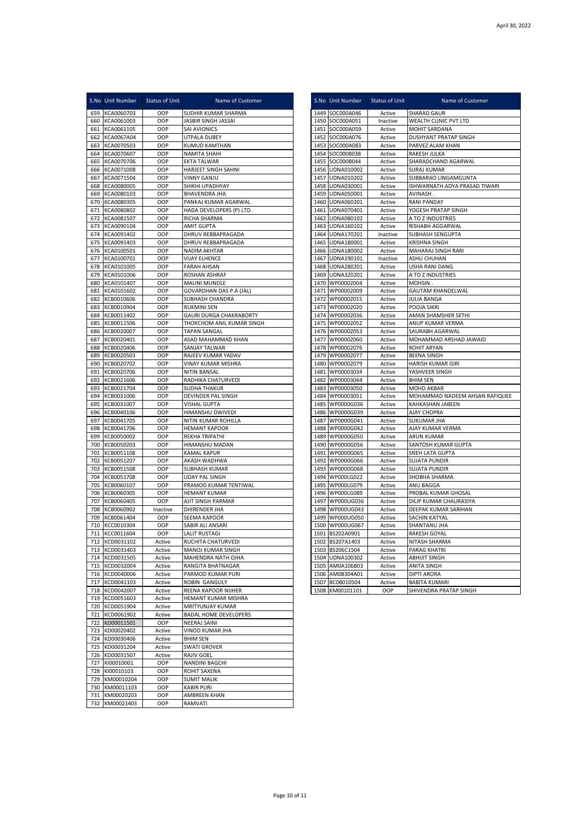|            | S.No Unit Number                 | Status of Unit   | Name of Customer                                |              | S.No Unit Number              | Status of Unit   | Name of Customer                                   |
|------------|----------------------------------|------------------|-------------------------------------------------|--------------|-------------------------------|------------------|----------------------------------------------------|
| 659        | KCA0060703                       | OOP              | SUDHIR KUMAR SHARMA                             |              | 1449 SOC000A046               | Active           | <b>SHARAD GAUR</b>                                 |
|            | 660 KCA0061003                   | OOP              | JASBIR SINGH JASSAI                             |              | 1450 SOC000A051               | Inactive         | WEALTH CLINIC PVT LTD                              |
| 661        | KCA0061105                       | OOP              | <b>SAI AVIONICS</b>                             | 1451         | SOC000A059                    | Active           | MOHIT SARDANA                                      |
| 662        | KCA0067A04                       | OOP              | UTPALA DUBEY                                    | 1452         | SOC000A076                    | Active           | <b>DUSHYANT PRATAP SINGH</b><br>PARVEZ ALAM KHAN   |
| 663<br>664 | KCA0070503<br>KCA0070607         | OOP<br>OOP       | KUMUD KAMTHAN<br>NAMITA SHAHI                   | 1453<br>1454 | SOC000A083<br>SOC000B038      | Active<br>Active | RAKESH JULKA                                       |
| 665        | KCA0070706                       | OOP              | EKTA TALWAR                                     | 1455         | SOC000B044                    | Active           | SHARADCHAND AGARWAL                                |
| 666        | KCA0071008                       | OOP              | HARJEET SINGH SAHNI                             | 1456         | UDNA010002                    | Active           | <b>SURAJ KUMAR</b>                                 |
| 667        | KCA0071504                       | OOP              | <b>VINNY GANJU</b>                              | 1457         | UDNA010202                    | Active           | SUBBARAO LINGAMGUNTA                               |
| 668        | KCA0080005                       | OOP              | SHIKHI UPADHYAY                                 | 1458         | UDNA030001                    | Active           | ISHWARNATH ADYA PRASAD TIWARI                      |
| 669        | KCA0080103                       | OOP              | <b>BHAVENDRA JHA</b>                            | 1459         | UDNA050001                    | Active           | AVINASH.                                           |
| 670<br>671 | KCA0080305<br>KCA0080802         | OOP<br>OOP       | PANKAJ KUMAR AGARWAL<br>HADA DEVELOPERS (P) LTD | 1460<br>1461 | UDNA060201<br>UDNA070401      | Active<br>Active | <b>RANI PANDAY</b><br>YOGESH PRATAP SINGH          |
| 672        | KCA0081507                       | OOP              | RICHA SHARMA                                    | 1462         | UDNA080102                    | Active           | A TO Z INDUSTRIES                                  |
|            | 673 KCA0090104                   | OOP              | AMIT GUPTA                                      | 1463         | UDNA160102                    | Active           | RISHABH AGGARWAL                                   |
| 674        | KCA0091402                       | OOP              | DHRUV REBBAPRAGADA                              | 1464         | UDNA170201                    | Inactive         | <b>SUBHASH SENGUPTA</b>                            |
| 675        | KCA0091403                       | OOP              | DHRUV REBBAPRAGADA                              | 1465         | UDNA180001                    | Active           | <b>KRISHNA SINGH</b>                               |
|            | 676 KCA0100501                   | OOP              | NADIM AKHTAR                                    | 1466         | UDNA180002                    | Active           | MAHARAJ SINGH RARI                                 |
| 677        | KCA0100701                       | OOP              | <b>VIJAY ELHENCE</b>                            | 1467         | UDNA190101                    | Inactive         | <b>ASHU CHUHAN</b>                                 |
| 678        | KCA0101005<br>679 KCA0101006     | OOP<br>OOP       | FARAH AHSAN<br>ROSHAN ASHRAF                    | 1468<br>1469 | UDNA280201<br>UDNA320201      | Active<br>Active | USHA RANI DANG<br>A TO Z INDUSTRIES                |
| 680        | KCA0101407                       | OOP              | <b>MALINI MUNDLE</b>                            | 1470         | WP00002004                    | Active           | <b>MOHSIN</b>                                      |
| 681        | KCA0101602                       | OOP              | GOVARDHAN DAS P.A (JAL)                         | 1471         | WP00002009                    | Active           | <b>GAUTAM KHANDELWAL</b>                           |
| 682        | KCB0010606                       | OOP              | SUBHASH CHANDRA                                 | 1472         | WP00002015                    | Active           | <b>JULIA BANGA</b>                                 |
| 683        | KCB0010904                       | OOP              | <b>RUKMINI SEN</b>                              | 1473         | WP00002020                    | Active           | POOJA SIKRI                                        |
| 684        | KCB0011402                       | OOP              | <b>GAURI DURGA CHAKRABORTY</b>                  |              | 1474 WP00002036               | Active           | AMAN SHAMSHER SETHI                                |
| 685        | KCB0011506                       | OOP              | THOKCHOM ANIL KUMAR SINGH                       | 1475         | WP00002052                    | Active           | ANUP KUMAR VERMA                                   |
| 686<br>687 | KCB0020007<br>KCB0020401         | OOP<br>OOP       | <b>TAPAN SANGAL</b><br>ASAD MAHAMMAD KHAN       | 1476<br>1477 | WP00002053<br>WP00002060      | Active<br>Active | SAURABH AGARWAL<br>MOHAMMAD ARSHAD JAWAID          |
| 688        | KCB0020406                       | OOP              | SANJAY TALWAR                                   | 1478         | WP00002076                    | Active           | <b>ROHIT ARYAN</b>                                 |
| 689        | KCB0020503                       | OOP              | RAJEEV KUMAR YADAV                              | 1479         | WP00002077                    | Active           | <b>BEENA SINGH</b>                                 |
| 690        | KCB0020702                       | OOP              | VINAY KUMAR MISHRA                              | 1480         | WP00002079                    | Active           | HARISH KUMAR GIRI                                  |
| 691        | KCB0020706                       | OOP              | NITIN BANSAL                                    | 1481         | WP00003034                    | Active           | YASHVEER SINGH                                     |
| 692        | KCB0021606                       | OOP              | RADHIKA CHATURVEDI                              | 1482         | WP00003044                    | Active           | <b>BHIM SEN</b>                                    |
| 693        | KCB0021704                       | OOP              | <b>SUDHA THAKUR</b>                             | 1483         | WP00003050                    | Active           | <b>MOHD AKBAR</b>                                  |
| 694<br>695 | KCB0031006<br>KCB0031007         | OOP<br>OOP       | DEVINDER PAL SINGH<br>VISHAL GUPTA              | 1484<br>1485 | WP00003051<br>WP0000G036      | Active<br>Active | MOHAMMAD NADEEM AHSAN RAFIQUEE<br>KAHKASHAN JABEEN |
| 696        | KCB0040106                       | OOP              | HIMANSHU DWIVEDI                                | 1486         | WP0000G039                    | Active           | AJAY CHOPRA                                        |
| 697        | KCB0041705                       | OOP              | NITIN KUMAR ROHILLA                             | 1487         | WP0000G041                    | Active           | SUKUMAR JHA                                        |
| 698        | KCB0041706                       | OOP              | <b>HEMANT KAPOOR</b>                            | 1488         | WP0000G042                    | Active           | AJAY KUMAR VERMA                                   |
| 699        | KCB0050002                       | OOP              | REKHA TRIPATHI                                  | 1489         | WP0000G050                    | Active           | ARUN KUMAR                                         |
| 700        | KCB0050203                       | OOP              | HIMANSHU MADAN                                  | 1490         | WP0000G056                    | Active           | SANTOSH KUMAR GUPTA                                |
| 701<br>702 | KCB0051108<br>KCB0051207         | OOP<br>OOP       | KAMAL KAPUR<br>AKASH WADHWA                     | 1491<br>1492 | WP0000G065<br>WP0000G066      | Active<br>Active | SNEH LATA GUPTA<br><b>SUJATA PUNDIR</b>            |
| 703        | KCB0051508                       | OOP              | <b>SUBHASH KUMAR</b>                            | 1493         | WP0000G068                    | Active           | <b>SUJATA PUNDIR</b>                               |
| 704        | KCB0051708                       | OOP              | UDAY PAL SINGH                                  | 1494         | WP000LG022                    | Active           | SHOBHA SHARMA                                      |
| 705        | KCB0060107                       | OOP              | PRAMOD KUMAR TENTIWAL                           | 1495         | WP000LG079                    | Active           | ANU BAGGA                                          |
| 706        | KCB0060305                       | OOP              | <b>HEMANT KUMAR</b>                             | 1496         | WP000LG089                    | Active           | PROBAL KUMAR GHOSAL                                |
| 707        | KCB0060405                       | OOP              | AJIT SINGH PARMAR                               | 1497         | WP000UG036                    | Active           | DILIP KUMAR CHAURASIYA                             |
| 708        | KCB0060902                       | Inactive         | DHIRENDER JHA                                   | 1498         | WP000UG043                    | Active           | DEEPAK KUMAR SARIHAN                               |
| 709        | KCB0061404<br>710 KCC0010304     | OOP<br>OOP       | SEEMA KAPOOR<br>SABIR ALI ANSARI                | 1499         | WP000UG050<br>1500 WP000UG067 | Active<br>Active | SACHIN KATYAL<br>SHANTANU JHA                      |
|            | 711 KCC0011604                   | OOP              | LALIT RUSTAGI                                   |              | 1501 BS202A0901               | Active           | RAKESH GOYAL                                       |
|            | 712 KCD0031102                   | Active           | RUCHITA CHATURVEDI                              |              | 1502 BS207A1403               | Active           | NITASH SHARMA                                      |
|            | 713 KCD0031403                   | Active           | MANOJ KUMAR SINGH                               |              | 1503 BS206C1504               | Active           | <b>PARAG KHATRI</b>                                |
|            | 714 KCD0031505                   | Active           | MAHENDRA NATH OJHA                              |              | 1504 UDNA100302               | Active           | <b>ABHIJIT SINGH</b>                               |
|            | 715 KCD0032004                   | Active           | RANGITA BHATNAGAR                               |              | 1505 AM0A106B03               | Active           | <b>ANITA SINGH</b>                                 |
|            | 716 KCD0040006<br>717 KCD0041103 | Active           | PARMOD KUMAR PURI                               | 1506         | AM0B304A01                    | Active           | <b>DIPTI ARORA</b>                                 |
|            | 718 KCD0042007                   | Active<br>Active | ROBIN GANGULY<br>REENA KAPOOR NIJHER            | 1507         | BC0B010504<br>1508 KM00101101 | Active<br>OOP    | <b>BABITA KUMARI</b><br>SHIVENDRA PRATAP SINGH     |
|            | 719 KCD0051603                   | Active           | HEMANT KUMAR MISHRA                             |              |                               |                  |                                                    |
|            | 720 KCD0051904                   | Active           | MRITYUNJAY KUMAR                                |              |                               |                  |                                                    |
| 721        | KCD0061902                       | Active           | <b>BADAL HOME DEVELOPERS</b>                    |              |                               |                  |                                                    |
| 722        | KD00011501                       | OOP              | NEERAJ SAINI                                    |              |                               |                  |                                                    |
|            | 723 KD00020402                   | Active           | VINOD KUMAR JHA                                 |              |                               |                  |                                                    |
| 724        | KD00030406                       | Active           | <b>BHIM SEN</b>                                 |              |                               |                  |                                                    |
| 725        | KD00031204<br>726 KD00031507     | Active<br>Active | SWATI GROVER<br>RAJIV GOEL                      |              |                               |                  |                                                    |
| 727        | KI00010001                       | OOP              | NANDINI BAGCHI                                  |              |                               |                  |                                                    |
| 728        | KI00010103                       | OOP              | ROHIT SAXENA                                    |              |                               |                  |                                                    |
| 729        | KM00010204                       | OOP              | SUMIT MALIK                                     |              |                               |                  |                                                    |
| 730        | KM00011103                       | OOP              | KABIR PURI                                      |              |                               |                  |                                                    |
| 731        | KM00020203                       | OOP              | AMBREEN KHAN                                    |              |                               |                  |                                                    |
| 732        | KM00021403                       | OOP              | RAMVATI                                         |              |                               |                  |                                                    |

|      | S.No Unit Number | <b>Status of Unit</b> | Name of Customer               |
|------|------------------|-----------------------|--------------------------------|
|      | 1449 SOC000A046  | Active                | SHARAD GAUR                    |
| 1450 | SOC000A051       | Inactive              | WEALTH CLINIC PVT LTD          |
|      | 1451 SOC000A059  | Active                | MOHIT SARDANA                  |
|      | 1452 SOC000A076  | Active                | DUSHYANT PRATAP SINGH          |
|      | 1453 SOC000A083  | Active                | PARVEZ ALAM KHAN               |
| 1454 | SOC000B038       | Active                | RAKESH JULKA                   |
|      | 1455 SOC000B044  | Active                | SHARADCHAND AGARWAL            |
|      | 1456 UDNA010002  | Active                | <b>SURAJ KUMAR</b>             |
|      | 1457 UDNA010202  | Active                | SUBBARAO LINGAMGUNTA           |
|      | 1458 UDNA030001  | Active                | ISHWARNATH ADYA PRASAD TIWARI  |
|      | 1459 UDNA050001  | Active                | AVINASH.                       |
| 1460 | UDNA060201       | Active                | RANI PANDAY                    |
|      | 1461 UDNA070401  | Active                | YOGESH PRATAP SINGH            |
|      | 1462 UDNA080102  | Active                | A TO Z INDUSTRIES              |
| 1463 | UDNA160102       | Active                | RISHABH AGGARWAL               |
|      | 1464 UDNA170201  | Inactive              | SUBHASH SENGUPTA               |
|      | 1465 UDNA180001  | Active                | <b>KRISHNA SINGH</b>           |
|      | 1466 UDNA180002  | Active                | MAHARAJ SINGH RARI             |
|      | 1467 UDNA190101  | Inactive              | ASHU CHUHAN                    |
| 1468 | UDNA280201       | Active                | USHA RANI DANG                 |
|      | 1469 UDNA320201  | Active                | A TO Z INDUSTRIES              |
| 1470 | WP00002004       | Active                | MOHSIN.                        |
|      | 1471 WP00002009  | Active                | <b>GAUTAM KHANDELWAL</b>       |
| 1472 | WP00002015       | Active                | <b>JULIA BANGA</b>             |
| 1473 | WP00002020       | Active                | POOJA SIKRI                    |
|      | 1474 WP00002036  | Active                | AMAN SHAMSHER SETHI            |
| 1475 | WP00002052       | Active                | ANUP KUMAR VERMA               |
|      | 1476 WP00002053  | Active                | SAURABH AGARWAL                |
| 1477 | WP00002060       | Active                | MOHAMMAD ARSHAD JAWAID         |
| 1478 | WP00002076       | Active                | ROHIT ARYAN                    |
| 1479 | WP00002077       | Active                | <b>BEENA SINGH</b>             |
|      | 1480 WP00002079  | Active                | HARISH KUMAR GIRI              |
|      | 1481 WP00003034  | Active                | YASHVEER SINGH                 |
| 1482 | WP00003044       | Active                | <b>BHIM SEN</b>                |
| 1483 | WP00003050       | Active                | MOHD AKBAR                     |
|      | 1484 WP00003051  | Active                | MOHAMMAD NADEEM AHSAN RAFIQUEE |
|      | 1485 WP0000G036  | Active                | KAHKASHAN JABEEN               |
|      | 1486 WP0000G039  | Active                | <b>AJAY CHOPRA</b>             |
| 1487 | WP0000G041       | Active                | SUKUMAR JHA                    |
| 1488 | WP0000G042       | Active                | AJAY KUMAR VERMA               |
| 1489 | WP0000G050       | Active                | <b>ARUN KUMAR</b>              |
| 1490 | WP0000G056       | Active                | SANTOSH KUMAR GUPTA            |
|      | 1491 WP0000G065  | Active                | SNEH LATA GUPTA                |
| 1492 | WP0000G066       | Active                | <b>SUJATA PUNDIR</b>           |
| 1493 | WP0000G068       | Active                | SUJATA PUNDIR                  |
| 1494 | WP000LG022       | Active                | SHOBHA SHARMA                  |
|      | 1495 WP000LG079  | Active                | ANU BAGGA                      |
|      | 1496 WP000LG089  | Active                | PROBAL KUMAR GHOSAL            |
| 1497 | WP000UG036       | Active                | DILIP KUMAR CHAURASIYA         |
| 1498 | WP000UG043       | Active                | DEEPAK KUMAR SARIHAN           |
| 1499 | WP000UG050       | Active                | SACHIN KATYAL                  |
| 1500 | WP000UG067       | Active                | SHANTANU JHA                   |
|      | 1501 BS202A0901  | Active                | RAKESH GOYAL                   |
| 1502 | BS207A1403       | Active                | NITASH SHARMA                  |
| 1503 | BS206C1504       | Active                | PARAG KHATRI                   |
|      | 1504 UDNA100302  | Active                | <b>ABHIJIT SINGH</b>           |
|      | 1505 AM0A106B03  | Active                | ANITA SINGH                    |
|      | 1506 AM0B304A01  | Active                | <b>DIPTI ARORA</b>             |
|      | 1507 BC0B010504  | Active                | <b>BABITA KUMARI</b>           |
|      | 1508 KM00101101  | OOP                   | SHIVENDRA PRATAP SINGH         |